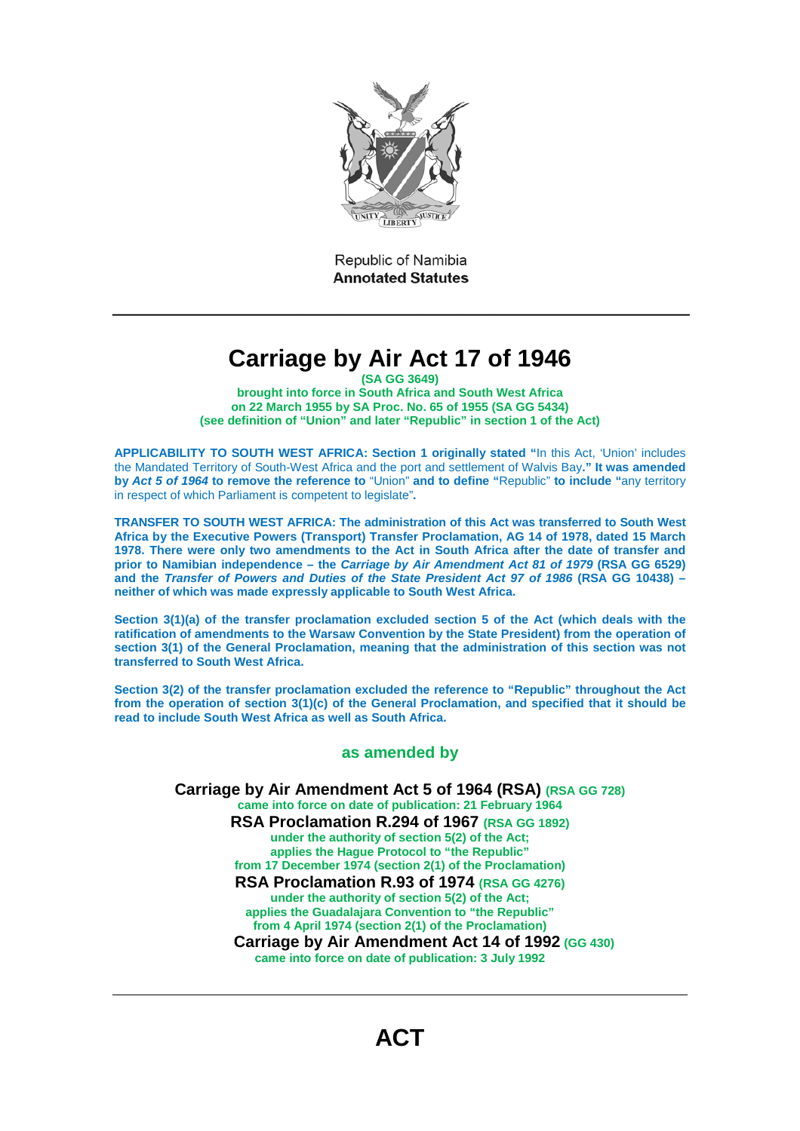

Republic of Namibia **Annotated Statutes** 

# **Carriage by Air Act 17 of 1946**

**(SA GG 3649) brought into force in South Africa and South West Africa on 22 March 1955 by SA Proc. No. 65 of 1955 (SA GG 5434) (see definition of "Union" and later "Republic" in section 1 of the Act)**

**APPLICABILITY TO SOUTH WEST AFRICA: Section 1 originally stated "**In this Act, 'Union' includes the Mandated Territory of South-West Africa and the port and settlement of Walvis Bay**." It was amended by** *Act 5 of 1964* **to remove the reference to** "Union" **and to define "**Republic" **to include "**any territory in respect of which Parliament is competent to legislate"**.**

**TRANSFER TO SOUTH WEST AFRICA: The administration of this Act was transferred to South West Africa by the Executive Powers (Transport) Transfer Proclamation, AG 14 of 1978, dated 15 March 1978. There were only two amendments to the Act in South Africa after the date of transfer and prior to Namibian independence – the** *Carriage by Air Amendment Act 81 of 1979* **(RSA GG 6529) and the** *Transfer of Powers and Duties of the State President Act 97 of 1986* **(RSA GG 10438) – neither of which was made expressly applicable to South West Africa.**

**Section 3(1)(a) of the transfer proclamation excluded section 5 of the Act (which deals with the ratification of amendments to the Warsaw Convention by the State President) from the operation of section 3(1) of the General Proclamation, meaning that the administration of this section was not transferred to South West Africa.**

**Section 3(2) of the transfer proclamation excluded the reference to "Republic" throughout the Act from the operation of section 3(1)(c) of the General Proclamation, and specified that it should be read to include South West Africa as well as South Africa.**

# **as amended by**

**Carriage by Air Amendment Act 5 of 1964 (RSA) (RSA GG 728) came into force on date of publication: 21 February 1964 RSA Proclamation R.294 of 1967 (RSA GG 1892) under the authority of section 5(2) of the Act; applies the Hague Protocol to "the Republic" from 17 December 1974 (section 2(1) of the Proclamation) RSA Proclamation R.93 of 1974 (RSA GG 4276) under the authority of section 5(2) of the Act; applies the Guadalajara Convention to "the Republic" from 4 April 1974 (section 2(1) of the Proclamation)**

**Carriage by Air Amendment Act 14 of 1992 (GG 430) came into force on date of publication: 3 July 1992**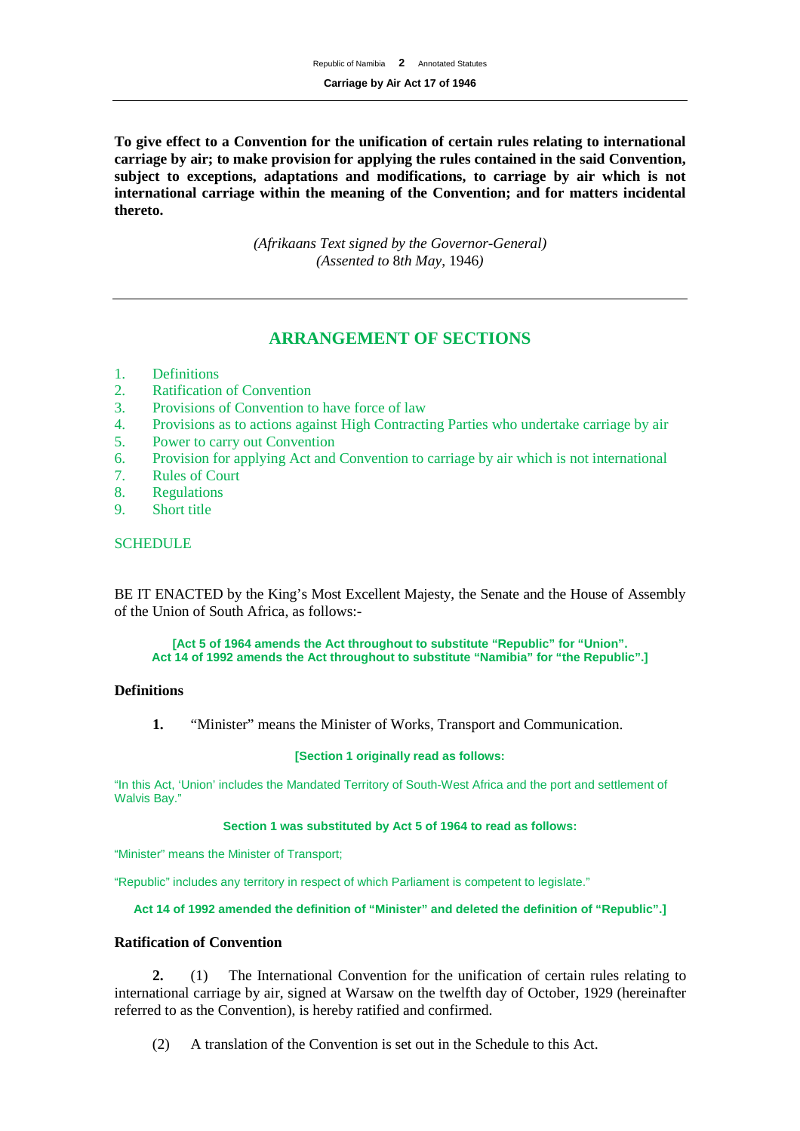**To give effect to a Convention for the unification of certain rules relating to international carriage by air; to make provision for applying the rules contained in the said Convention, subject to exceptions, adaptations and modifications, to carriage by air which is not international carriage within the meaning of the Convention; and for matters incidental thereto.**

> *(Afrikaans Text signed by the Governor-General) (Assented to* 8*th May*, 1946*)*

# **ARRANGEMENT OF SECTIONS**

- 1. Definitions
- 2. Ratification of Convention
- 3. Provisions of Convention to have force of law
- 4. Provisions as to actions against High Contracting Parties who undertake carriage by air
- 5. Power to carry out Convention
- 6. Provision for applying Act and Convention to carriage by air which is not international
- 7. Rules of Court
- 8. Regulations
- 9. Short title

### **SCHEDULE**

BE IT ENACTED by the King's Most Excellent Majesty, the Senate and the House of Assembly of the Union of South Africa, as follows:-

**[Act 5 of 1964 amends the Act throughout to substitute "Republic" for "Union". Act 14 of 1992 amends the Act throughout to substitute "Namibia" for "the Republic".]** 

### **Definitions**

**1.** "Minister" means the Minister of Works, Transport and Communication.

#### **[Section 1 originally read as follows:**

"In this Act, 'Union' includes the Mandated Territory of South-West Africa and the port and settlement of Walvis Bay."

#### **Section 1 was substituted by Act 5 of 1964 to read as follows:**

"Minister" means the Minister of Transport;

"Republic" includes any territory in respect of which Parliament is competent to legislate."

#### **Act 14 of 1992 amended the definition of "Minister" and deleted the definition of "Republic".]**

#### **Ratification of Convention**

**2.** (1) The International Convention for the unification of certain rules relating to international carriage by air, signed at Warsaw on the twelfth day of October, 1929 (hereinafter referred to as the Convention), is hereby ratified and confirmed.

(2) A translation of the Convention is set out in the Schedule to this Act.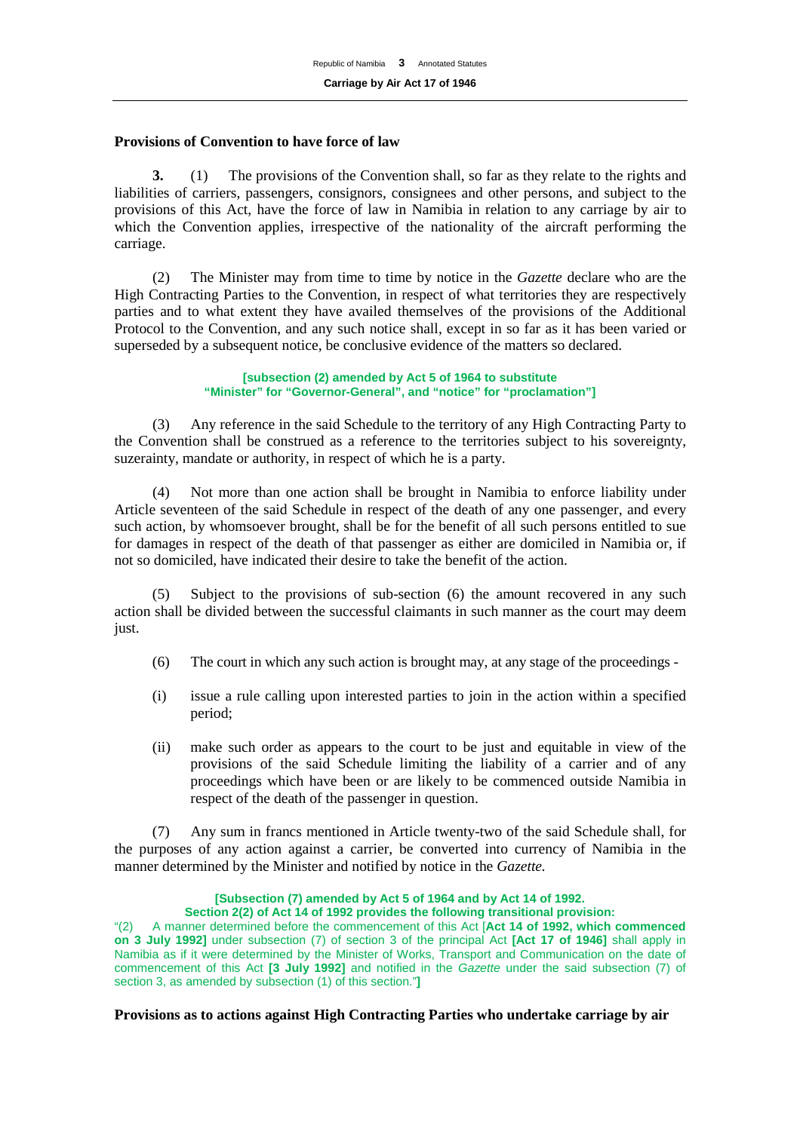#### **Provisions of Convention to have force of law**

**3.** (1) The provisions of the Convention shall, so far as they relate to the rights and liabilities of carriers, passengers, consignors, consignees and other persons, and subject to the provisions of this Act, have the force of law in Namibia in relation to any carriage by air to which the Convention applies, irrespective of the nationality of the aircraft performing the carriage.

(2) The Minister may from time to time by notice in the *Gazette* declare who are the High Contracting Parties to the Convention, in respect of what territories they are respectively parties and to what extent they have availed themselves of the provisions of the Additional Protocol to the Convention, and any such notice shall, except in so far as it has been varied or superseded by a subsequent notice, be conclusive evidence of the matters so declared.

> **[subsection (2) amended by Act 5 of 1964 to substitute "Minister" for "Governor-General", and "notice" for "proclamation"]**

(3) Any reference in the said Schedule to the territory of any High Contracting Party to the Convention shall be construed as a reference to the territories subject to his sovereignty, suzerainty, mandate or authority, in respect of which he is a party.

(4) Not more than one action shall be brought in Namibia to enforce liability under Article seventeen of the said Schedule in respect of the death of any one passenger, and every such action, by whomsoever brought, shall be for the benefit of all such persons entitled to sue for damages in respect of the death of that passenger as either are domiciled in Namibia or, if not so domiciled, have indicated their desire to take the benefit of the action.

(5) Subject to the provisions of sub-section (6) the amount recovered in any such action shall be divided between the successful claimants in such manner as the court may deem just.

- (6) The court in which any such action is brought may, at any stage of the proceedings -
- (i) issue a rule calling upon interested parties to join in the action within a specified period;
- (ii) make such order as appears to the court to be just and equitable in view of the provisions of the said Schedule limiting the liability of a carrier and of any proceedings which have been or are likely to be commenced outside Namibia in respect of the death of the passenger in question.

(7) Any sum in francs mentioned in Article twenty-two of the said Schedule shall, for the purposes of any action against a carrier, be converted into currency of Namibia in the manner determined by the Minister and notified by notice in the *Gazette.*

### **[Subsection (7) amended by Act 5 of 1964 and by Act 14 of 1992.**

**Section 2(2) of Act 14 of 1992 provides the following transitional provision:**  "(2) A manner determined before the commencement of this Act [**Act 14 of 1992, which commenced on 3 July 1992]** under subsection (7) of section 3 of the principal Act **[Act 17 of 1946]** shall apply in Namibia as if it were determined by the Minister of Works, Transport and Communication on the date of commencement of this Act **[3 July 1992]** and notified in the *Gazette* under the said subsection (7) of section 3, as amended by subsection (1) of this section."**]**

#### **Provisions as to actions against High Contracting Parties who undertake carriage by air**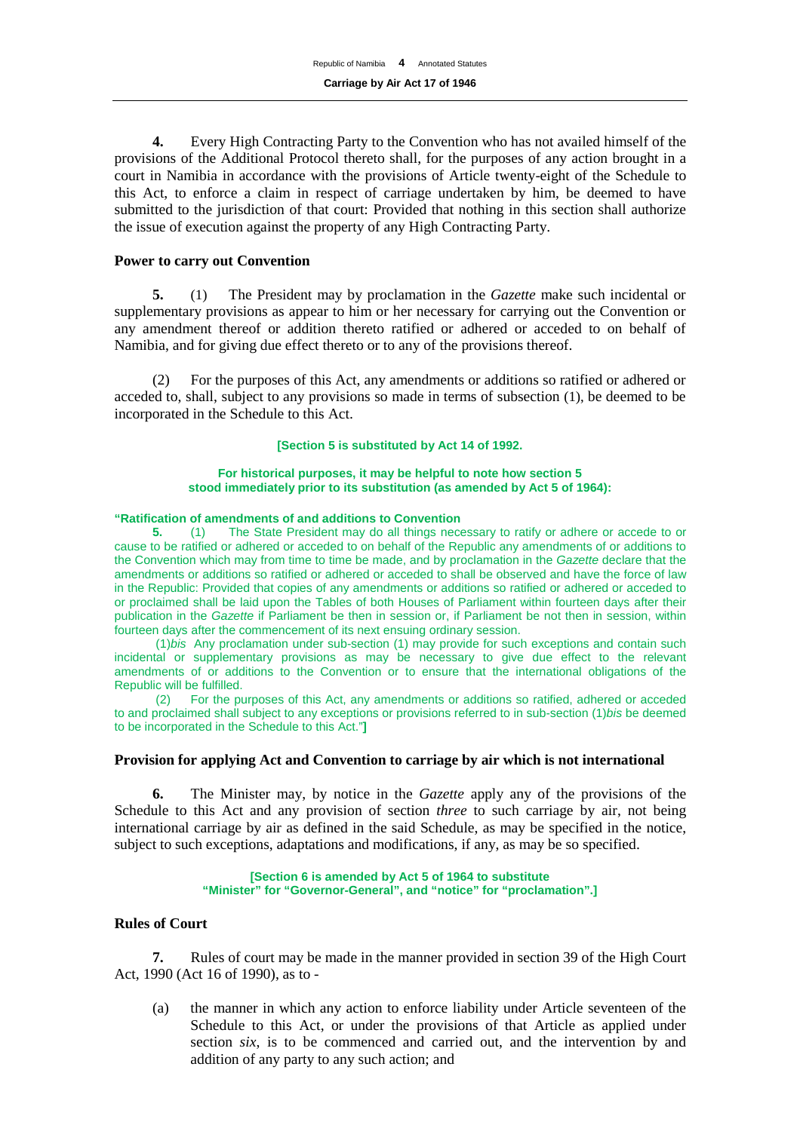**4.** Every High Contracting Party to the Convention who has not availed himself of the provisions of the Additional Protocol thereto shall, for the purposes of any action brought in a court in Namibia in accordance with the provisions of Article twenty-eight of the Schedule to this Act, to enforce a claim in respect of carriage undertaken by him, be deemed to have submitted to the jurisdiction of that court: Provided that nothing in this section shall authorize the issue of execution against the property of any High Contracting Party.

### **Power to carry out Convention**

**5.** (1) The President may by proclamation in the *Gazette* make such incidental or supplementary provisions as appear to him or her necessary for carrying out the Convention or any amendment thereof or addition thereto ratified or adhered or acceded to on behalf of Namibia, and for giving due effect thereto or to any of the provisions thereof.

(2) For the purposes of this Act, any amendments or additions so ratified or adhered or acceded to, shall, subject to any provisions so made in terms of subsection (1), be deemed to be incorporated in the Schedule to this Act.

#### **[Section 5 is substituted by Act 14 of 1992.**

#### **For historical purposes, it may be helpful to note how section 5 stood immediately prior to its substitution (as amended by Act 5 of 1964):**

#### **"Ratification of amendments of and additions to Convention**

**5.** (1) The State President may do all things necessary to ratify or adhere or accede to or cause to be ratified or adhered or acceded to on behalf of the Republic any amendments of or additions to the Convention which may from time to time be made, and by proclamation in the *Gazette* declare that the amendments or additions so ratified or adhered or acceded to shall be observed and have the force of law in the Republic: Provided that copies of any amendments or additions so ratified or adhered or acceded to or proclaimed shall be laid upon the Tables of both Houses of Parliament within fourteen days after their publication in the *Gazette* if Parliament be then in session or, if Parliament be not then in session, within fourteen days after the commencement of its next ensuing ordinary session.

(1)*bis* Any proclamation under sub-section (1) may provide for such exceptions and contain such incidental or supplementary provisions as may be necessary to give due effect to the relevant amendments of or additions to the Convention or to ensure that the international obligations of the Republic will be fulfilled.

(2) For the purposes of this Act, any amendments or additions so ratified, adhered or acceded to and proclaimed shall subject to any exceptions or provisions referred to in sub-section (1)*bis* be deemed to be incorporated in the Schedule to this Act."**]**

### **Provision for applying Act and Convention to carriage by air which is not international**

**6.** The Minister may, by notice in the *Gazette* apply any of the provisions of the Schedule to this Act and any provision of section *three* to such carriage by air, not being international carriage by air as defined in the said Schedule, as may be specified in the notice, subject to such exceptions, adaptations and modifications, if any, as may be so specified.

#### **[Section 6 is amended by Act 5 of 1964 to substitute "Minister" for "Governor-General", and "notice" for "proclamation".]**

### **Rules of Court**

**7.** Rules of court may be made in the manner provided in section 39 of the High Court Act, 1990 (Act 16 of 1990), as to -

(a) the manner in which any action to enforce liability under Article seventeen of the Schedule to this Act, or under the provisions of that Article as applied under section *six*, is to be commenced and carried out, and the intervention by and addition of any party to any such action; and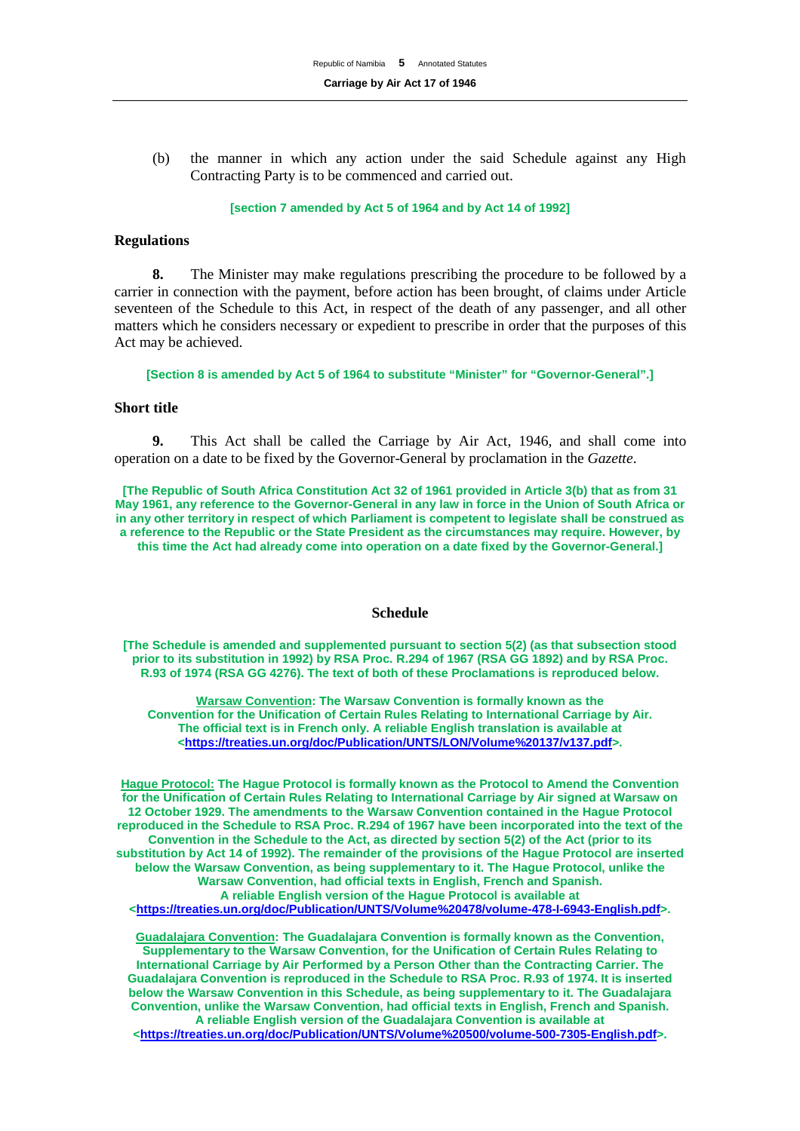(b) the manner in which any action under the said Schedule against any High Contracting Party is to be commenced and carried out.

#### **[section 7 amended by Act 5 of 1964 and by Act 14 of 1992]**

#### **Regulations**

**8.** The Minister may make regulations prescribing the procedure to be followed by a carrier in connection with the payment, before action has been brought, of claims under Article seventeen of the Schedule to this Act, in respect of the death of any passenger, and all other matters which he considers necessary or expedient to prescribe in order that the purposes of this Act may be achieved.

**[Section 8 is amended by Act 5 of 1964 to substitute "Minister" for "Governor-General".]**

### **Short title**

**9.** This Act shall be called the Carriage by Air Act, 1946, and shall come into operation on a date to be fixed by the Governor-General by proclamation in the *Gazette*.

**[The Republic of South Africa Constitution Act 32 of 1961 provided in Article 3(b) that as from 31 May 1961, any reference to the Governor-General in any law in force in the Union of South Africa or in any other territory in respect of which Parliament is competent to legislate shall be construed as a reference to the Republic or the State President as the circumstances may require. However, by this time the Act had already come into operation on a date fixed by the Governor-General.]**

#### **Schedule**

**[The Schedule is amended and supplemented pursuant to section 5(2) (as that subsection stood prior to its substitution in 1992) by RSA Proc. R.294 of 1967 (RSA GG 1892) and by RSA Proc. R.93 of 1974 (RSA GG 4276). The text of both of these Proclamations is reproduced below.** 

**Warsaw Convention: The Warsaw Convention is formally known as the Convention for the Unification of Certain Rules Relating to International Carriage by Air. The official text is in French only. A reliable English translation is available at [<https://treaties.un.org/doc/Publication/UNTS/LON/Volume%20137/v137.pdf>](https://treaties.un.org/doc/Publication/UNTS/LON/Volume%20137/v137.pdf).**

**Hague Protocol: The Hague Protocol is formally known as the Protocol to Amend the Convention for the Unification of Certain Rules Relating to International Carriage by Air signed at Warsaw on 12 October 1929. The amendments to the Warsaw Convention contained in the Hague Protocol reproduced in the Schedule to RSA Proc. R.294 of 1967 have been incorporated into the text of the Convention in the Schedule to the Act, as directed by section 5(2) of the Act (prior to its substitution by Act 14 of 1992). The remainder of the provisions of the Hague Protocol are inserted below the Warsaw Convention, as being supplementary to it. The Hague Protocol, unlike the Warsaw Convention, had official texts in English, French and Spanish. A reliable English version of the Hague Protocol is available at [<https://treaties.un.org/doc/Publication/UNTS/Volume%20478/volume-478-I-6943-English.pdf>](https://treaties.un.org/doc/Publication/UNTS/Volume%20478/volume-478-I-6943-English.pdf).**

**Guadalajara Convention: The Guadalajara Convention is formally known as the Convention, Supplementary to the Warsaw Convention, for the Unification of Certain Rules Relating to International Carriage by Air Performed by a Person Other than the Contracting Carrier. The Guadalajara Convention is reproduced in the Schedule to RSA Proc. R.93 of 1974. It is inserted below the Warsaw Convention in this Schedule, as being supplementary to it. The Guadalajara Convention, unlike the Warsaw Convention, had official texts in English, French and Spanish. A reliable English version of the Guadalajara Convention is available at**

**[<https://treaties.un.org/doc/Publication/UNTS/Volume%20500/volume-500-7305-English.pdf>](https://treaties.un.org/doc/Publication/UNTS/Volume%20500/volume-500-7305-English.pdf).**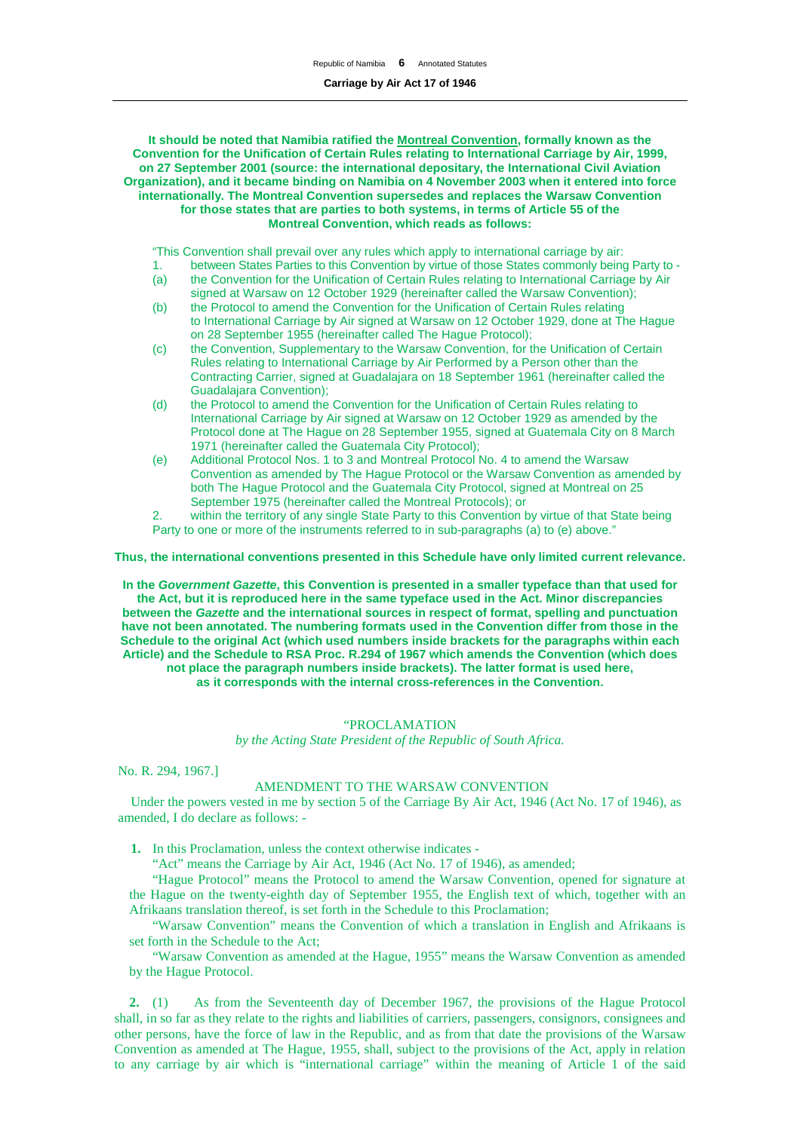#### **It should be noted that Namibia ratified the Montreal Convention, formally known as the Convention for the Unification of Certain Rules relating to International Carriage by Air, 1999, on 27 September 2001 (source: the international depositary, the International Civil Aviation Organization), and it became binding on Namibia on 4 November 2003 when it entered into force internationally. The Montreal Convention supersedes and replaces the Warsaw Convention for those states that are parties to both systems, in terms of Article 55 of the Montreal Convention, which reads as follows:**

"This Convention shall prevail over any rules which apply to international carriage by air:

- 1. between States Parties to this Convention by virtue of those States commonly being Party to -
- (a) the Convention for the Unification of Certain Rules relating to International Carriage by Air signed at Warsaw on 12 October 1929 (hereinafter called the Warsaw Convention);
- (b) the Protocol to amend the Convention for the Unification of Certain Rules relating to International Carriage by Air signed at Warsaw on 12 October 1929, done at The Hague on 28 September 1955 (hereinafter called The Hague Protocol);
- (c) the Convention, Supplementary to the Warsaw Convention, for the Unification of Certain Rules relating to International Carriage by Air Performed by a Person other than the Contracting Carrier, signed at Guadalajara on 18 September 1961 (hereinafter called the Guadalajara Convention);
- (d) the Protocol to amend the Convention for the Unification of Certain Rules relating to International Carriage by Air signed at Warsaw on 12 October 1929 as amended by the Protocol done at The Hague on 28 September 1955, signed at Guatemala City on 8 March 1971 (hereinafter called the Guatemala City Protocol);
- (e) Additional Protocol Nos. 1 to 3 and Montreal Protocol No. 4 to amend the Warsaw Convention as amended by The Hague Protocol or the Warsaw Convention as amended by both The Hague Protocol and the Guatemala City Protocol, signed at Montreal on 25 September 1975 (hereinafter called the Montreal Protocols); or

2. within the territory of any single State Party to this Convention by virtue of that State being Party to one or more of the instruments referred to in sub-paragraphs (a) to (e) above."

#### **Thus, the international conventions presented in this Schedule have only limited current relevance.**

**In the** *Government Gazette***, this Convention is presented in a smaller typeface than that used for the Act, but it is reproduced here in the same typeface used in the Act. Minor discrepancies between the** *Gazette* **and the international sources in respect of format, spelling and punctuation have not been annotated. The numbering formats used in the Convention differ from those in the Schedule to the original Act (which used numbers inside brackets for the paragraphs within each Article) and the Schedule to RSA Proc. R.294 of 1967 which amends the Convention (which does not place the paragraph numbers inside brackets). The latter format is used here, as it corresponds with the internal cross-references in the Convention.**

#### "PROCLAMATION

*by the Acting State President of the Republic of South Africa.*

No. R. 294, 1967.]

# AMENDMENT TO THE WARSAW CONVENTION

Under the powers vested in me by section 5 of the Carriage By Air Act, 1946 (Act No. 17 of 1946), as amended, I do declare as follows: -

**1.** In this Proclamation, unless the context otherwise indicates -

"Act" means the Carriage by Air Act, 1946 (Act No. 17 of 1946), as amended;

"Hague Protocol" means the Protocol to amend the Warsaw Convention, opened for signature at the Hague on the twenty-eighth day of September 1955, the English text of which, together with an Afrikaans translation thereof, is set forth in the Schedule to this Proclamation;

"Warsaw Convention" means the Convention of which a translation in English and Afrikaans is set forth in the Schedule to the Act;

"Warsaw Convention as amended at the Hague, 1955" means the Warsaw Convention as amended by the Hague Protocol.

**2.** (1) As from the Seventeenth day of December 1967, the provisions of the Hague Protocol shall, in so far as they relate to the rights and liabilities of carriers, passengers, consignors, consignees and other persons, have the force of law in the Republic, and as from that date the provisions of the Warsaw Convention as amended at The Hague, 1955, shall, subject to the provisions of the Act, apply in relation to any carriage by air which is "international carriage" within the meaning of Article 1 of the said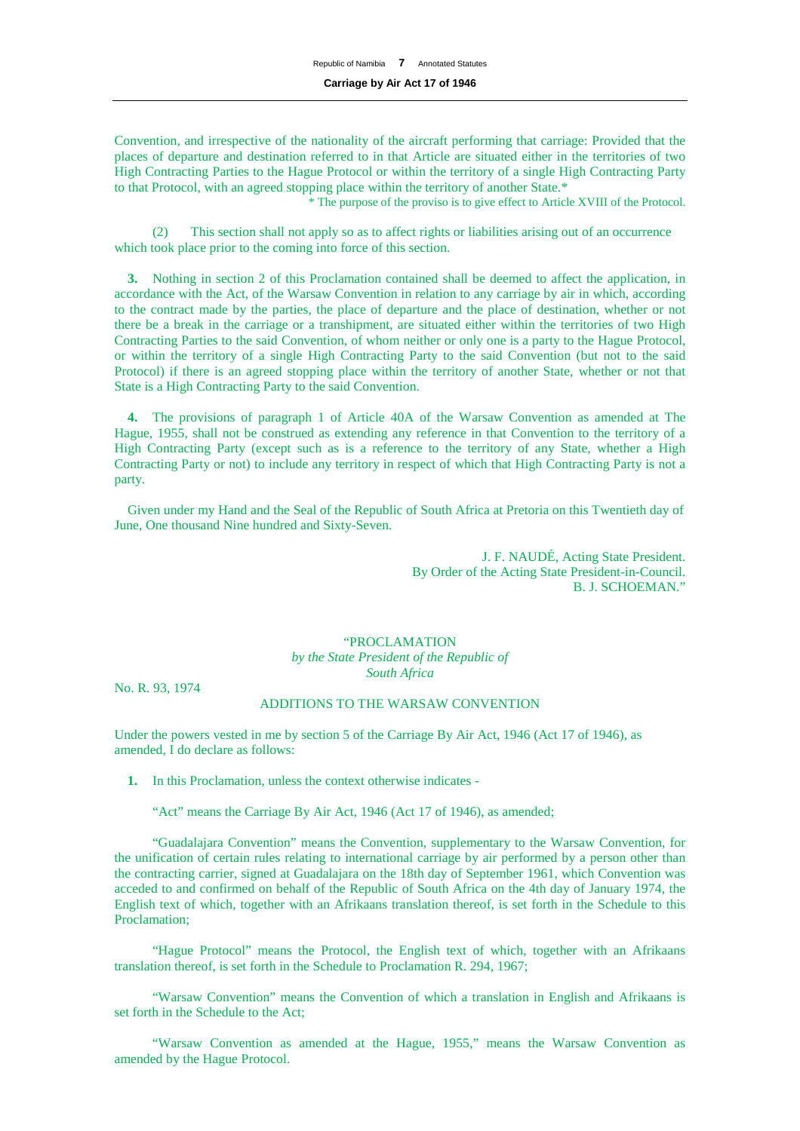Convention, and irrespective of the nationality of the aircraft performing that carriage: Provided that the places of departure and destination referred to in that Article are situated either in the territories of two High Contracting Parties to the Hague Protocol or within the territory of a single High Contracting Party to that Protocol, with an agreed stopping place within the territory of another State.\*

\* The purpose of the proviso is to give effect to Article XVIII of the Protocol.

(2) This section shall not apply so as to affect rights or liabilities arising out of an occurrence which took place prior to the coming into force of this section.

**3.** Nothing in section 2 of this Proclamation contained shall be deemed to affect the application, in accordance with the Act, of the Warsaw Convention in relation to any carriage by air in which, according to the contract made by the parties, the place of departure and the place of destination, whether or not there be a break in the carriage or a transhipment, are situated either within the territories of two High Contracting Parties to the said Convention, of whom neither or only one is a party to the Hague Protocol, or within the territory of a single High Contracting Party to the said Convention (but not to the said Protocol) if there is an agreed stopping place within the territory of another State, whether or not that State is a High Contracting Party to the said Convention.

**4.** The provisions of paragraph 1 of Article 40A of the Warsaw Convention as amended at The Hague, 1955, shall not be construed as extending any reference in that Convention to the territory of a High Contracting Party (except such as is a reference to the territory of any State, whether a High Contracting Party or not) to include any territory in respect of which that High Contracting Party is not a party.

Given under my Hand and the Seal of the Republic of South Africa at Pretoria on this Twentieth day of June, One thousand Nine hundred and Sixty-Seven.

> J. F. NAUDÉ, Acting State President. By Order of the Acting State President-in-Council. B. J. SCHOEMAN."

"PROCLAMATION *by the State President of the Republic of South Africa*

No. R. 93, 1974

### ADDITIONS TO THE WARSAW CONVENTION

Under the powers vested in me by section 5 of the Carriage By Air Act, 1946 (Act 17 of 1946), as amended, I do declare as follows:

**1.** In this Proclamation, unless the context otherwise indicates -

"Act" means the Carriage By Air Act, 1946 (Act 17 of 1946), as amended;

"Guadalajara Convention" means the Convention, supplementary to the Warsaw Convention, for the unification of certain rules relating to international carriage by air performed by a person other than the contracting carrier, signed at Guadalajara on the 18th day of September 1961, which Convention was acceded to and confirmed on behalf of the Republic of South Africa on the 4th day of January 1974, the English text of which, together with an Afrikaans translation thereof, is set forth in the Schedule to this Proclamation;

"Hague Protocol" means the Protocol, the English text of which, together with an Afrikaans translation thereof, is set forth in the Schedule to Proclamation R. 294, 1967;

"Warsaw Convention" means the Convention of which a translation in English and Afrikaans is set forth in the Schedule to the Act;

"Warsaw Convention as amended at the Hague, 1955," means the Warsaw Convention as amended by the Hague Protocol.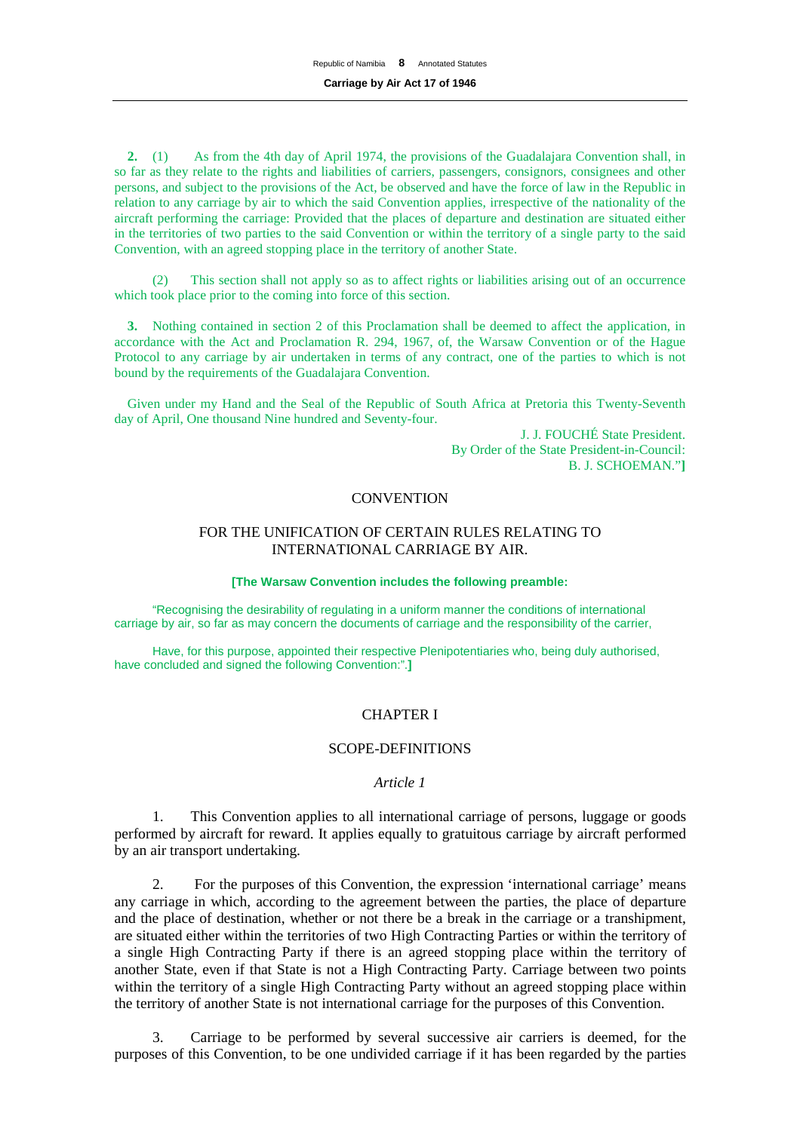**2.** (1) As from the 4th day of April 1974, the provisions of the Guadalajara Convention shall, in so far as they relate to the rights and liabilities of carriers, passengers, consignors, consignees and other persons, and subject to the provisions of the Act, be observed and have the force of law in the Republic in relation to any carriage by air to which the said Convention applies, irrespective of the nationality of the aircraft performing the carriage: Provided that the places of departure and destination are situated either in the territories of two parties to the said Convention or within the territory of a single party to the said Convention, with an agreed stopping place in the territory of another State.

(2) This section shall not apply so as to affect rights or liabilities arising out of an occurrence which took place prior to the coming into force of this section.

**3.** Nothing contained in section 2 of this Proclamation shall be deemed to affect the application, in accordance with the Act and Proclamation R. 294, 1967, of, the Warsaw Convention or of the Hague Protocol to any carriage by air undertaken in terms of any contract, one of the parties to which is not bound by the requirements of the Guadalajara Convention.

Given under my Hand and the Seal of the Republic of South Africa at Pretoria this Twenty-Seventh day of April, One thousand Nine hundred and Seventy-four.

> J. J. FOUCHÉ State President. By Order of the State President-in-Council: B. J. SCHOEMAN."**]**

#### **CONVENTION**

#### FOR THE UNIFICATION OF CERTAIN RULES RELATING TO INTERNATIONAL CARRIAGE BY AIR.

#### **[The Warsaw Convention includes the following preamble:**

"Recognising the desirability of regulating in a uniform manner the conditions of international carriage by air, so far as may concern the documents of carriage and the responsibility of the carrier,

Have, for this purpose, appointed their respective Plenipotentiaries who, being duly authorised, have concluded and signed the following Convention:".**]**

### CHAPTER I

#### SCOPE-DEFINITIONS

#### *Article 1*

1. This Convention applies to all international carriage of persons, luggage or goods performed by aircraft for reward. It applies equally to gratuitous carriage by aircraft performed by an air transport undertaking.

2. For the purposes of this Convention, the expression 'international carriage' means any carriage in which, according to the agreement between the parties, the place of departure and the place of destination, whether or not there be a break in the carriage or a transhipment, are situated either within the territories of two High Contracting Parties or within the territory of a single High Contracting Party if there is an agreed stopping place within the territory of another State, even if that State is not a High Contracting Party. Carriage between two points within the territory of a single High Contracting Party without an agreed stopping place within the territory of another State is not international carriage for the purposes of this Convention.

3. Carriage to be performed by several successive air carriers is deemed, for the purposes of this Convention, to be one undivided carriage if it has been regarded by the parties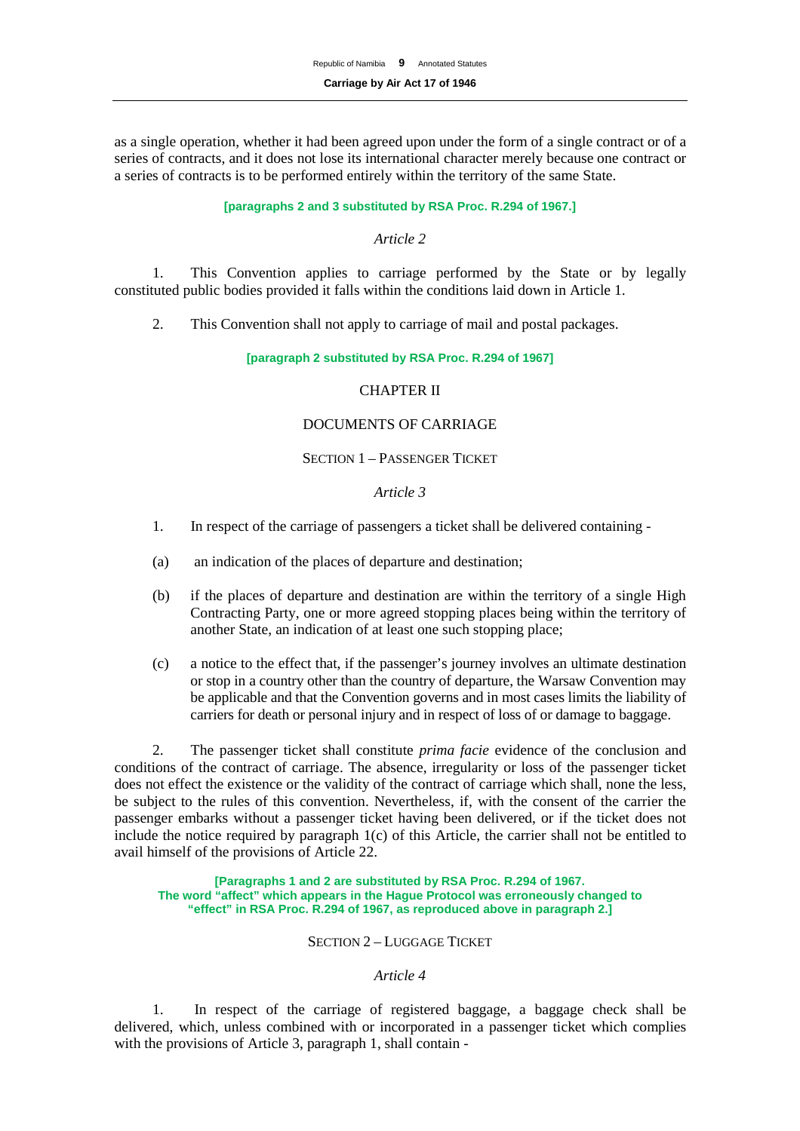as a single operation, whether it had been agreed upon under the form of a single contract or of a series of contracts, and it does not lose its international character merely because one contract or a series of contracts is to be performed entirely within the territory of the same State.

### **[paragraphs 2 and 3 substituted by RSA Proc. R.294 of 1967.]**

### *Article 2*

1. This Convention applies to carriage performed by the State or by legally constituted public bodies provided it falls within the conditions laid down in Article 1.

2. This Convention shall not apply to carriage of mail and postal packages.

### **[paragraph 2 substituted by RSA Proc. R.294 of 1967]**

### CHAPTER II

# DOCUMENTS OF CARRIAGE

# SECTION 1 – PASSENGER TICKET

# *Article 3*

- 1. In respect of the carriage of passengers a ticket shall be delivered containing -
- (a) an indication of the places of departure and destination;
- (b) if the places of departure and destination are within the territory of a single High Contracting Party, one or more agreed stopping places being within the territory of another State, an indication of at least one such stopping place;
- (c) a notice to the effect that, if the passenger's journey involves an ultimate destination or stop in a country other than the country of departure, the Warsaw Convention may be applicable and that the Convention governs and in most cases limits the liability of carriers for death or personal injury and in respect of loss of or damage to baggage.

2. The passenger ticket shall constitute *prima facie* evidence of the conclusion and conditions of the contract of carriage. The absence, irregularity or loss of the passenger ticket does not effect the existence or the validity of the contract of carriage which shall, none the less, be subject to the rules of this convention. Nevertheless, if, with the consent of the carrier the passenger embarks without a passenger ticket having been delivered, or if the ticket does not include the notice required by paragraph 1(c) of this Article, the carrier shall not be entitled to avail himself of the provisions of Article 22.

**[Paragraphs 1 and 2 are substituted by RSA Proc. R.294 of 1967. The word "affect" which appears in the Hague Protocol was erroneously changed to "effect" in RSA Proc. R.294 of 1967, as reproduced above in paragraph 2.]**

### SECTION 2 – LUGGAGE TICKET

#### *Article 4*

1. In respect of the carriage of registered baggage, a baggage check shall be delivered, which, unless combined with or incorporated in a passenger ticket which complies with the provisions of Article 3, paragraph 1, shall contain -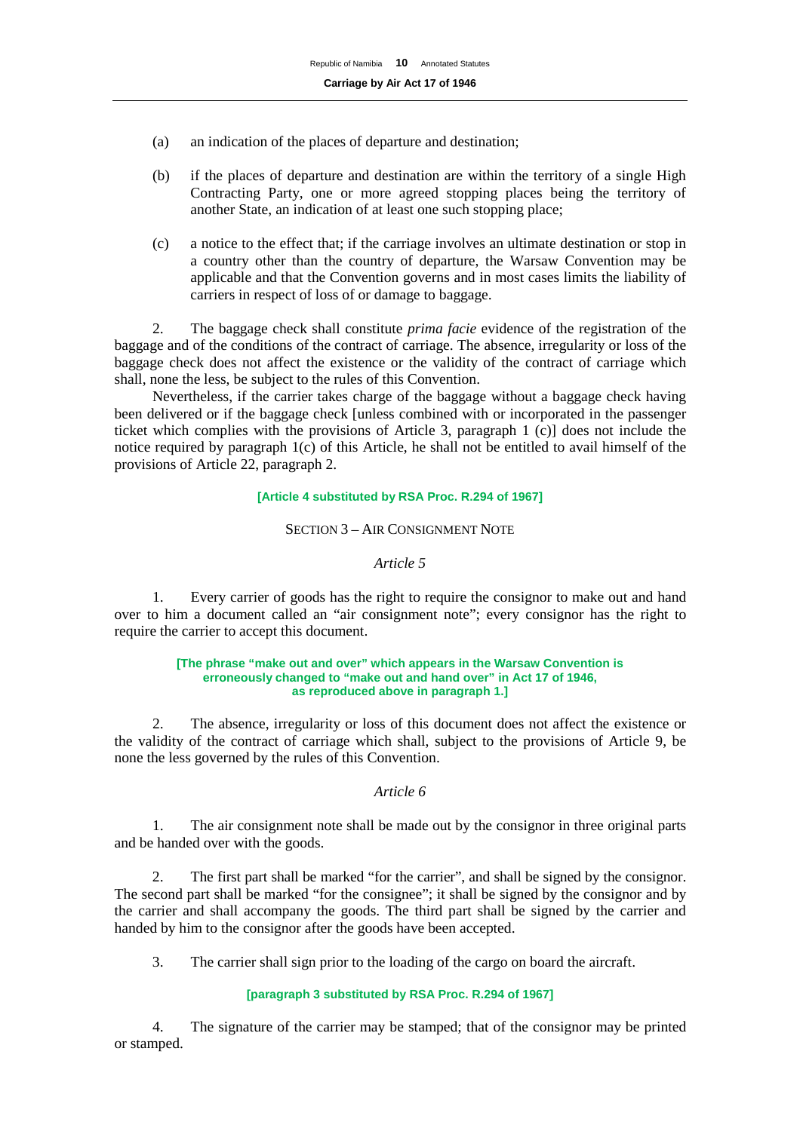- (a) an indication of the places of departure and destination;
- (b) if the places of departure and destination are within the territory of a single High Contracting Party, one or more agreed stopping places being the territory of another State, an indication of at least one such stopping place;
- (c) a notice to the effect that; if the carriage involves an ultimate destination or stop in a country other than the country of departure, the Warsaw Convention may be applicable and that the Convention governs and in most cases limits the liability of carriers in respect of loss of or damage to baggage.

2. The baggage check shall constitute *prima facie* evidence of the registration of the baggage and of the conditions of the contract of carriage. The absence, irregularity or loss of the baggage check does not affect the existence or the validity of the contract of carriage which shall, none the less, be subject to the rules of this Convention.

Nevertheless, if the carrier takes charge of the baggage without a baggage check having been delivered or if the baggage check [unless combined with or incorporated in the passenger ticket which complies with the provisions of Article 3, paragraph 1 (c)] does not include the notice required by paragraph 1(c) of this Article, he shall not be entitled to avail himself of the provisions of Article 22, paragraph 2.

### **[Article 4 substituted by RSA Proc. R.294 of 1967]**

### SECTION 3 – AIR CONSIGNMENT NOTE

### *Article 5*

1. Every carrier of goods has the right to require the consignor to make out and hand over to him a document called an "air consignment note"; every consignor has the right to require the carrier to accept this document.

#### **[The phrase "make out and over" which appears in the Warsaw Convention is erroneously changed to "make out and hand over" in Act 17 of 1946, as reproduced above in paragraph 1.]**

2. The absence, irregularity or loss of this document does not affect the existence or the validity of the contract of carriage which shall, subject to the provisions of Article 9, be none the less governed by the rules of this Convention.

# *Article 6*

1. The air consignment note shall be made out by the consignor in three original parts and be handed over with the goods.

2. The first part shall be marked "for the carrier", and shall be signed by the consignor. The second part shall be marked "for the consignee"; it shall be signed by the consignor and by the carrier and shall accompany the goods. The third part shall be signed by the carrier and handed by him to the consignor after the goods have been accepted.

3. The carrier shall sign prior to the loading of the cargo on board the aircraft.

### **[paragraph 3 substituted by RSA Proc. R.294 of 1967]**

4. The signature of the carrier may be stamped; that of the consignor may be printed or stamped.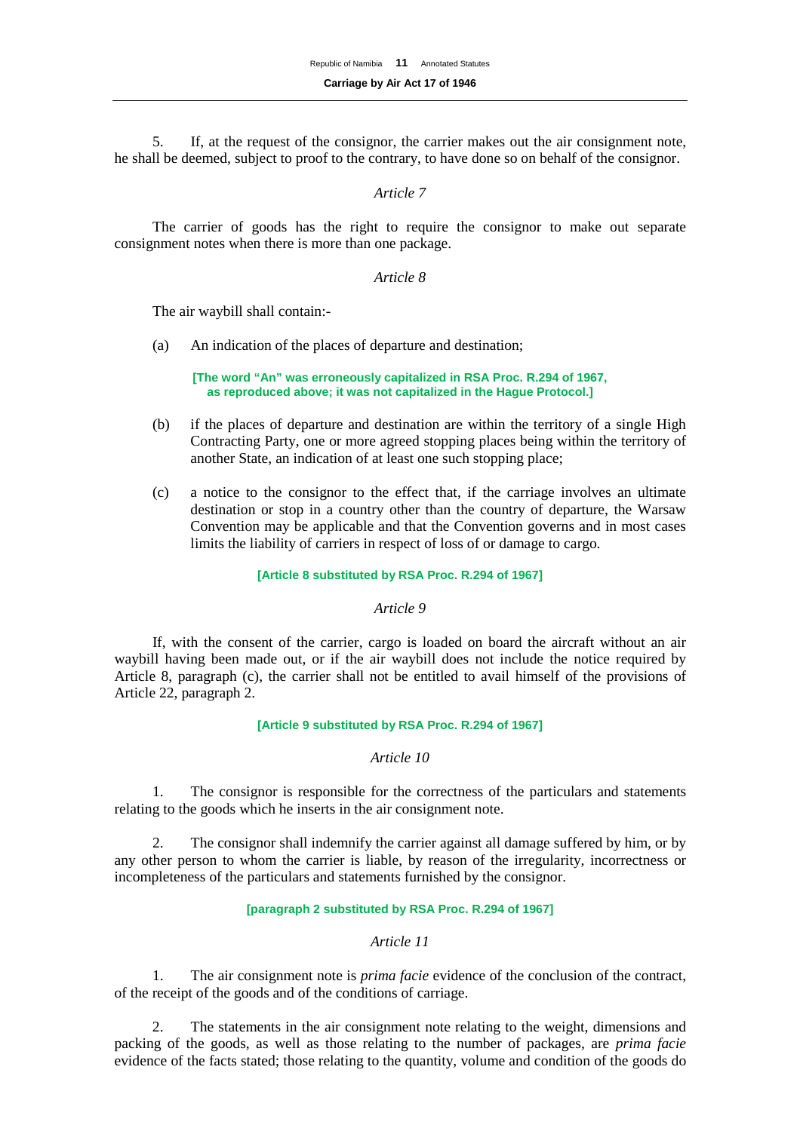5. If, at the request of the consignor, the carrier makes out the air consignment note, he shall be deemed, subject to proof to the contrary, to have done so on behalf of the consignor.

*Article 7*

The carrier of goods has the right to require the consignor to make out separate consignment notes when there is more than one package.

*Article 8*

The air waybill shall contain:-

(a) An indication of the places of departure and destination;

**[The word "An" was erroneously capitalized in RSA Proc. R.294 of 1967, as reproduced above; it was not capitalized in the Hague Protocol.]**

- (b) if the places of departure and destination are within the territory of a single High Contracting Party, one or more agreed stopping places being within the territory of another State, an indication of at least one such stopping place;
- (c) a notice to the consignor to the effect that, if the carriage involves an ultimate destination or stop in a country other than the country of departure, the Warsaw Convention may be applicable and that the Convention governs and in most cases limits the liability of carriers in respect of loss of or damage to cargo.

### **[Article 8 substituted by RSA Proc. R.294 of 1967]**

*Article 9*

If, with the consent of the carrier, cargo is loaded on board the aircraft without an air waybill having been made out, or if the air waybill does not include the notice required by Article 8, paragraph (c), the carrier shall not be entitled to avail himself of the provisions of Article 22, paragraph 2.

### **[Article 9 substituted by RSA Proc. R.294 of 1967]**

# *Article 10*

1. The consignor is responsible for the correctness of the particulars and statements relating to the goods which he inserts in the air consignment note.

2. The consignor shall indemnify the carrier against all damage suffered by him, or by any other person to whom the carrier is liable, by reason of the irregularity, incorrectness or incompleteness of the particulars and statements furnished by the consignor.

### **[paragraph 2 substituted by RSA Proc. R.294 of 1967]**

### *Article 11*

1. The air consignment note is *prima facie* evidence of the conclusion of the contract, of the receipt of the goods and of the conditions of carriage.

2. The statements in the air consignment note relating to the weight, dimensions and packing of the goods, as well as those relating to the number of packages, are *prima facie*  evidence of the facts stated; those relating to the quantity, volume and condition of the goods do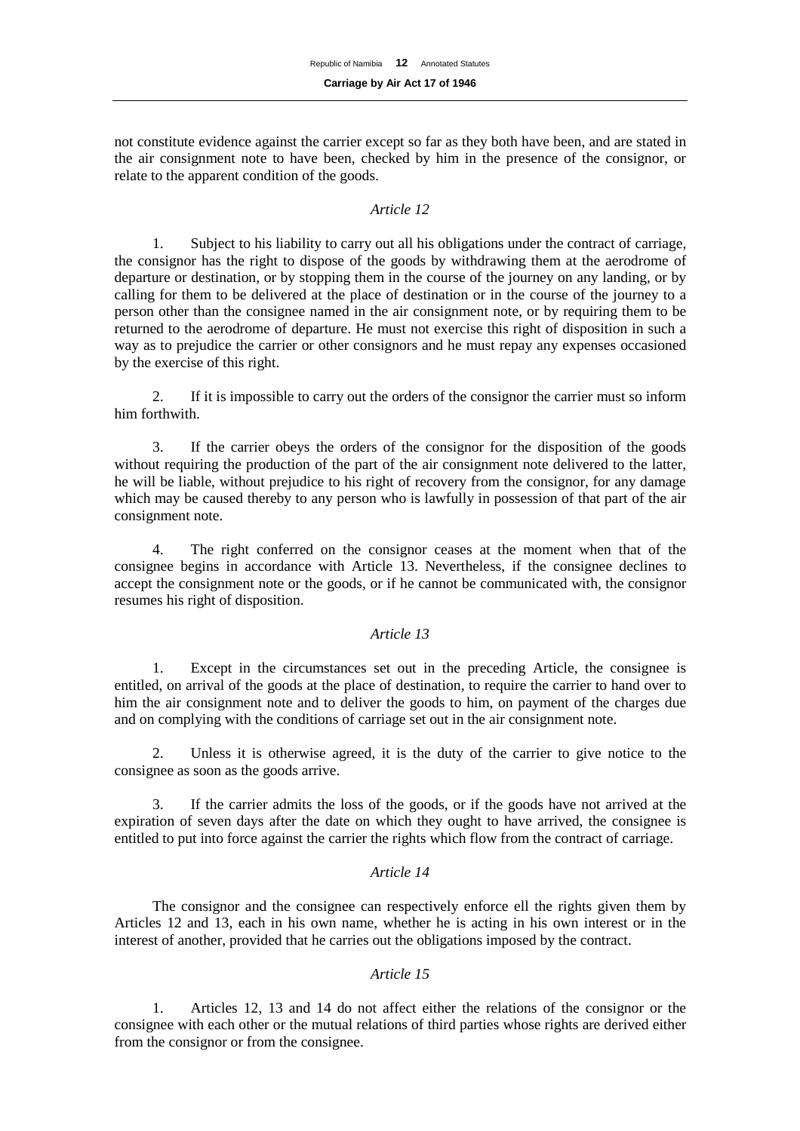not constitute evidence against the carrier except so far as they both have been, and are stated in the air consignment note to have been, checked by him in the presence of the consignor, or relate to the apparent condition of the goods.

# *Article 12*

1. Subject to his liability to carry out all his obligations under the contract of carriage, the consignor has the right to dispose of the goods by withdrawing them at the aerodrome of departure or destination, or by stopping them in the course of the journey on any landing, or by calling for them to be delivered at the place of destination or in the course of the journey to a person other than the consignee named in the air consignment note, or by requiring them to be returned to the aerodrome of departure. He must not exercise this right of disposition in such a way as to prejudice the carrier or other consignors and he must repay any expenses occasioned by the exercise of this right.

2. If it is impossible to carry out the orders of the consignor the carrier must so inform him forthwith.

3. If the carrier obeys the orders of the consignor for the disposition of the goods without requiring the production of the part of the air consignment note delivered to the latter, he will be liable, without prejudice to his right of recovery from the consignor, for any damage which may be caused thereby to any person who is lawfully in possession of that part of the air consignment note.

4. The right conferred on the consignor ceases at the moment when that of the consignee begins in accordance with Article 13. Nevertheless, if the consignee declines to accept the consignment note or the goods, or if he cannot be communicated with, the consignor resumes his right of disposition.

### *Article 13*

1. Except in the circumstances set out in the preceding Article, the consignee is entitled, on arrival of the goods at the place of destination, to require the carrier to hand over to him the air consignment note and to deliver the goods to him, on payment of the charges due and on complying with the conditions of carriage set out in the air consignment note.

2. Unless it is otherwise agreed, it is the duty of the carrier to give notice to the consignee as soon as the goods arrive.

3. If the carrier admits the loss of the goods, or if the goods have not arrived at the expiration of seven days after the date on which they ought to have arrived, the consignee is entitled to put into force against the carrier the rights which flow from the contract of carriage.

### *Article 14*

The consignor and the consignee can respectively enforce ell the rights given them by Articles 12 and 13, each in his own name, whether he is acting in his own interest or in the interest of another, provided that he carries out the obligations imposed by the contract.

# *Article 15*

1. Articles 12, 13 and 14 do not affect either the relations of the consignor or the consignee with each other or the mutual relations of third parties whose rights are derived either from the consignor or from the consignee.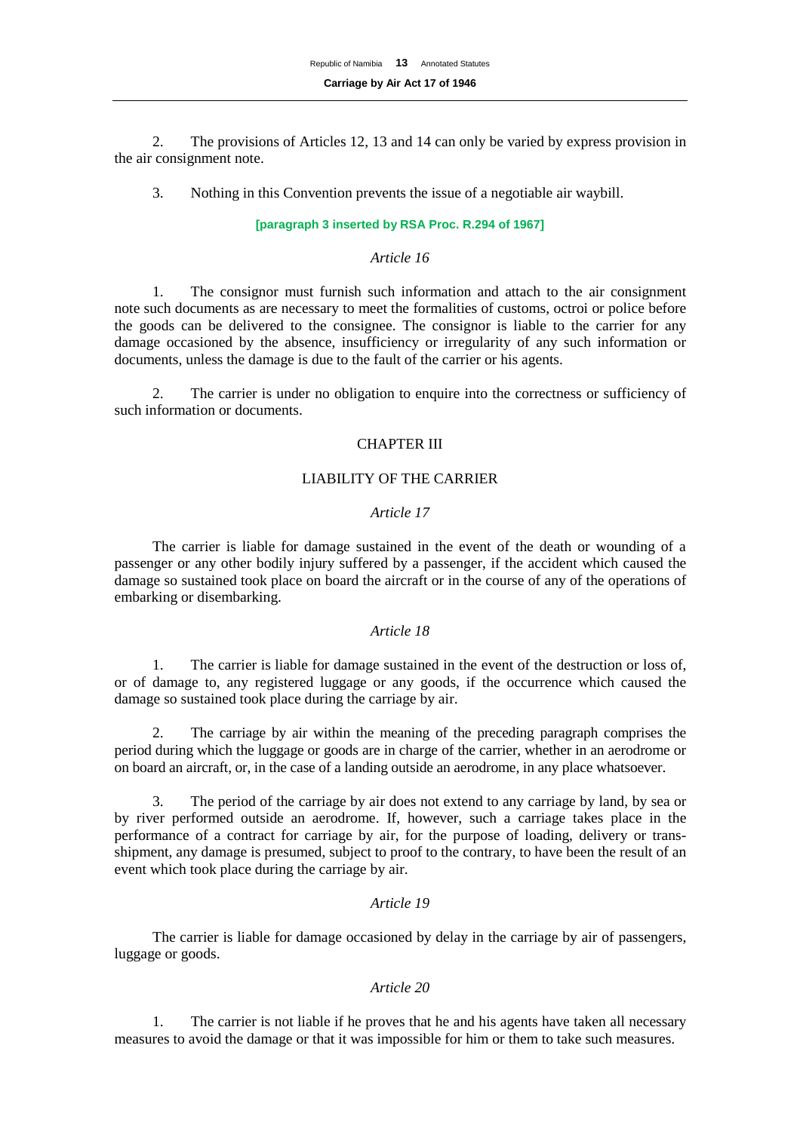2. The provisions of Articles 12, 13 and 14 can only be varied by express provision in the air consignment note.

3. Nothing in this Convention prevents the issue of a negotiable air waybill.

### **[paragraph 3 inserted by RSA Proc. R.294 of 1967]**

### *Article 16*

1. The consignor must furnish such information and attach to the air consignment note such documents as are necessary to meet the formalities of customs, octroi or police before the goods can be delivered to the consignee. The consignor is liable to the carrier for any damage occasioned by the absence, insufficiency or irregularity of any such information or documents, unless the damage is due to the fault of the carrier or his agents.

2. The carrier is under no obligation to enquire into the correctness or sufficiency of such information or documents.

### CHAPTER III

### LIABILITY OF THE CARRIER

### *Article 17*

The carrier is liable for damage sustained in the event of the death or wounding of a passenger or any other bodily injury suffered by a passenger, if the accident which caused the damage so sustained took place on board the aircraft or in the course of any of the operations of embarking or disembarking.

### *Article 18*

1. The carrier is liable for damage sustained in the event of the destruction or loss of, or of damage to, any registered luggage or any goods, if the occurrence which caused the damage so sustained took place during the carriage by air.

2. The carriage by air within the meaning of the preceding paragraph comprises the period during which the luggage or goods are in charge of the carrier, whether in an aerodrome or on board an aircraft, or, in the case of a landing outside an aerodrome, in any place whatsoever.

3. The period of the carriage by air does not extend to any carriage by land, by sea or by river performed outside an aerodrome. If, however, such a carriage takes place in the performance of a contract for carriage by air, for the purpose of loading, delivery or transshipment, any damage is presumed, subject to proof to the contrary, to have been the result of an event which took place during the carriage by air.

# *Article 19*

The carrier is liable for damage occasioned by delay in the carriage by air of passengers, luggage or goods.

#### *Article 20*

1. The carrier is not liable if he proves that he and his agents have taken all necessary measures to avoid the damage or that it was impossible for him or them to take such measures.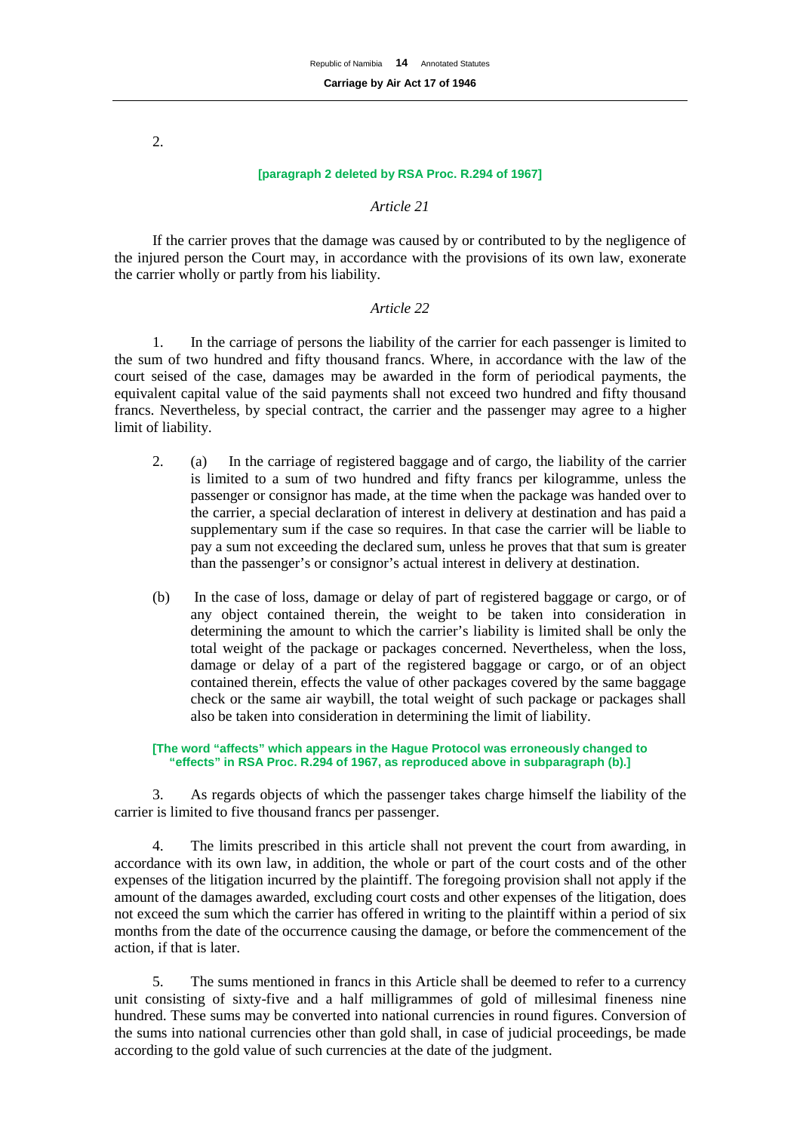2.

### **[paragraph 2 deleted by RSA Proc. R.294 of 1967]**

#### *Article 21*

If the carrier proves that the damage was caused by or contributed to by the negligence of the injured person the Court may, in accordance with the provisions of its own law, exonerate the carrier wholly or partly from his liability.

### *Article 22*

1. In the carriage of persons the liability of the carrier for each passenger is limited to the sum of two hundred and fifty thousand francs. Where, in accordance with the law of the court seised of the case, damages may be awarded in the form of periodical payments, the equivalent capital value of the said payments shall not exceed two hundred and fifty thousand francs. Nevertheless, by special contract, the carrier and the passenger may agree to a higher limit of liability.

- 2. (a) In the carriage of registered baggage and of cargo, the liability of the carrier is limited to a sum of two hundred and fifty francs per kilogramme, unless the passenger or consignor has made, at the time when the package was handed over to the carrier, a special declaration of interest in delivery at destination and has paid a supplementary sum if the case so requires. In that case the carrier will be liable to pay a sum not exceeding the declared sum, unless he proves that that sum is greater than the passenger's or consignor's actual interest in delivery at destination.
- (b) In the case of loss, damage or delay of part of registered baggage or cargo, or of any object contained therein, the weight to be taken into consideration in determining the amount to which the carrier's liability is limited shall be only the total weight of the package or packages concerned. Nevertheless, when the loss, damage or delay of a part of the registered baggage or cargo, or of an object contained therein, effects the value of other packages covered by the same baggage check or the same air waybill, the total weight of such package or packages shall also be taken into consideration in determining the limit of liability.

**[The word "affects" which appears in the Hague Protocol was erroneously changed to "effects" in RSA Proc. R.294 of 1967, as reproduced above in subparagraph (b).]**

3. As regards objects of which the passenger takes charge himself the liability of the carrier is limited to five thousand francs per passenger.

4. The limits prescribed in this article shall not prevent the court from awarding, in accordance with its own law, in addition, the whole or part of the court costs and of the other expenses of the litigation incurred by the plaintiff. The foregoing provision shall not apply if the amount of the damages awarded, excluding court costs and other expenses of the litigation, does not exceed the sum which the carrier has offered in writing to the plaintiff within a period of six months from the date of the occurrence causing the damage, or before the commencement of the action, if that is later.

5. The sums mentioned in francs in this Article shall be deemed to refer to a currency unit consisting of sixty-five and a half milligrammes of gold of millesimal fineness nine hundred. These sums may be converted into national currencies in round figures. Conversion of the sums into national currencies other than gold shall, in case of judicial proceedings, be made according to the gold value of such currencies at the date of the judgment.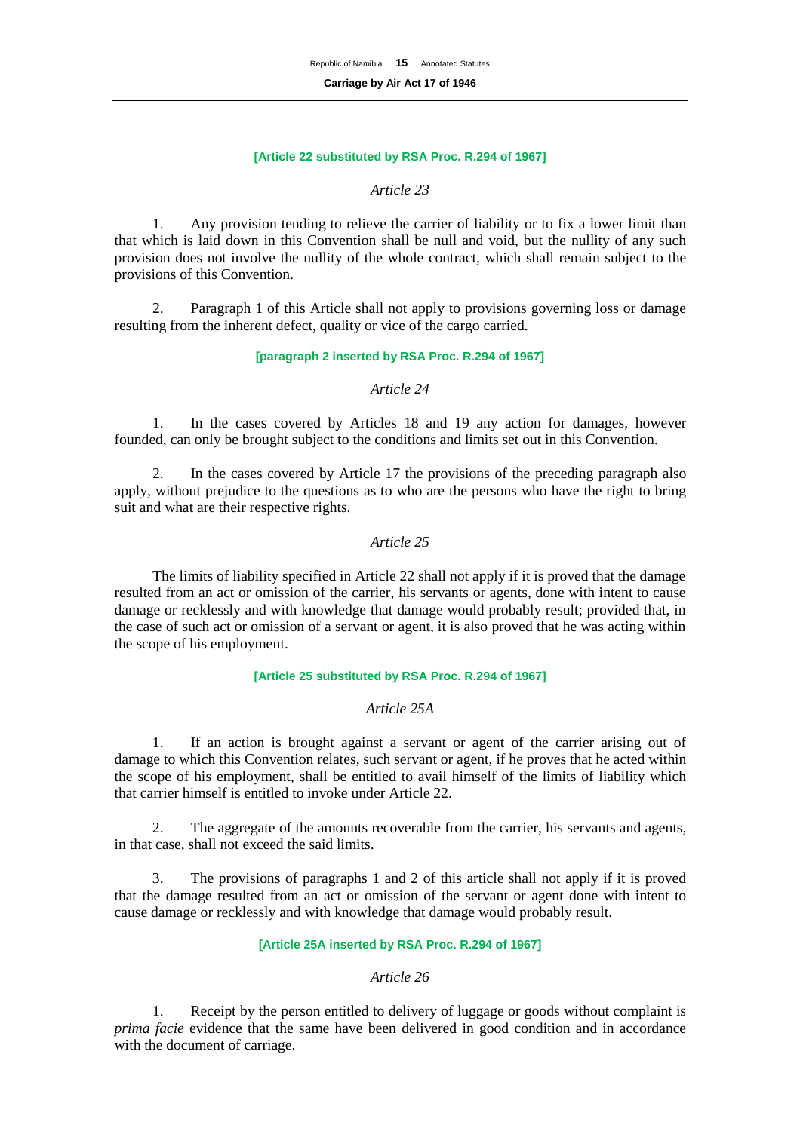#### **[Article 22 substituted by RSA Proc. R.294 of 1967]**

### *Article 23*

1. Any provision tending to relieve the carrier of liability or to fix a lower limit than that which is laid down in this Convention shall be null and void, but the nullity of any such provision does not involve the nullity of the whole contract, which shall remain subject to the provisions of this Convention.

2. Paragraph 1 of this Article shall not apply to provisions governing loss or damage resulting from the inherent defect, quality or vice of the cargo carried.

#### **[paragraph 2 inserted by RSA Proc. R.294 of 1967]**

### *Article 24*

1. In the cases covered by Articles 18 and 19 any action for damages, however founded, can only be brought subject to the conditions and limits set out in this Convention.

2. In the cases covered by Article 17 the provisions of the preceding paragraph also apply, without prejudice to the questions as to who are the persons who have the right to bring suit and what are their respective rights.

### *Article 25*

The limits of liability specified in Article 22 shall not apply if it is proved that the damage resulted from an act or omission of the carrier, his servants or agents, done with intent to cause damage or recklessly and with knowledge that damage would probably result; provided that, in the case of such act or omission of a servant or agent, it is also proved that he was acting within the scope of his employment.

#### **[Article 25 substituted by RSA Proc. R.294 of 1967]**

#### *Article 25A*

1. If an action is brought against a servant or agent of the carrier arising out of damage to which this Convention relates, such servant or agent, if he proves that he acted within the scope of his employment, shall be entitled to avail himself of the limits of liability which that carrier himself is entitled to invoke under Article 22.

2. The aggregate of the amounts recoverable from the carrier, his servants and agents, in that case, shall not exceed the said limits.

3. The provisions of paragraphs 1 and 2 of this article shall not apply if it is proved that the damage resulted from an act or omission of the servant or agent done with intent to cause damage or recklessly and with knowledge that damage would probably result.

#### **[Article 25A inserted by RSA Proc. R.294 of 1967]**

# *Article 26*

1. Receipt by the person entitled to delivery of luggage or goods without complaint is *prima facie* evidence that the same have been delivered in good condition and in accordance with the document of carriage.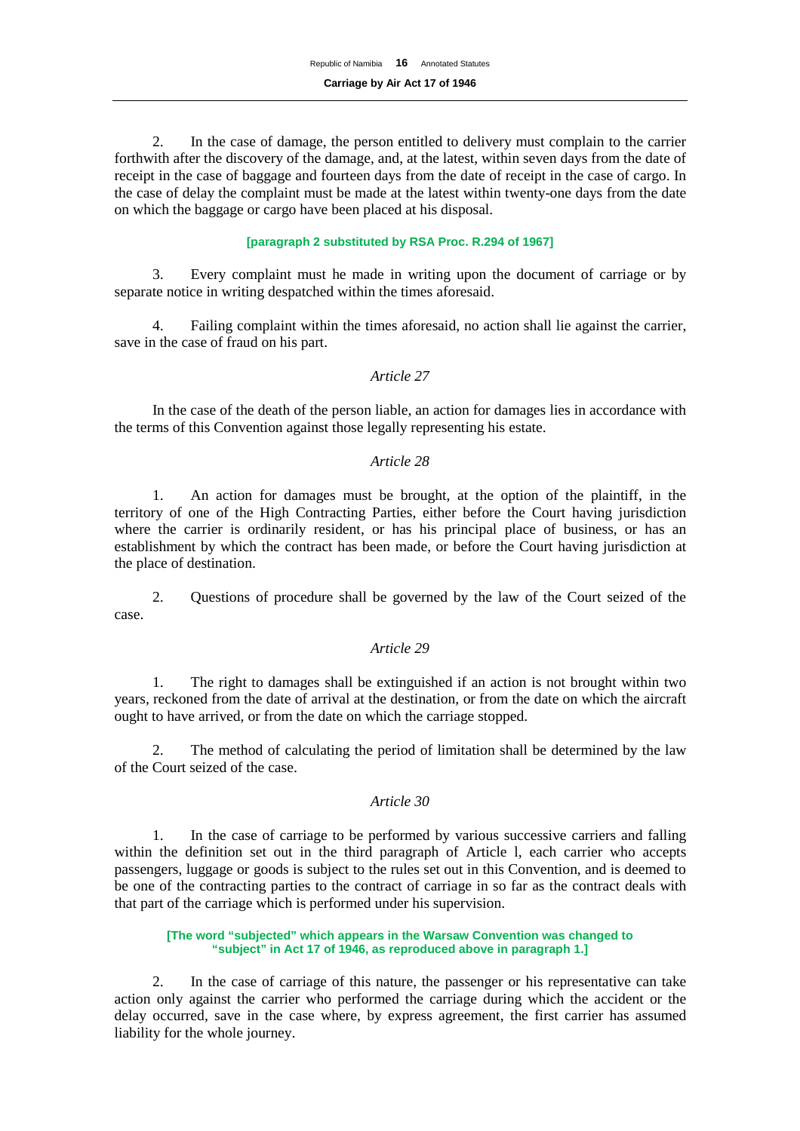2. In the case of damage, the person entitled to delivery must complain to the carrier forthwith after the discovery of the damage, and, at the latest, within seven days from the date of receipt in the case of baggage and fourteen days from the date of receipt in the case of cargo. In the case of delay the complaint must be made at the latest within twenty-one days from the date on which the baggage or cargo have been placed at his disposal.

### **[paragraph 2 substituted by RSA Proc. R.294 of 1967]**

3. Every complaint must he made in writing upon the document of carriage or by separate notice in writing despatched within the times aforesaid.

4. Failing complaint within the times aforesaid, no action shall lie against the carrier, save in the case of fraud on his part.

### *Article 27*

In the case of the death of the person liable, an action for damages lies in accordance with the terms of this Convention against those legally representing his estate.

### *Article 28*

1. An action for damages must be brought, at the option of the plaintiff, in the territory of one of the High Contracting Parties, either before the Court having jurisdiction where the carrier is ordinarily resident, or has his principal place of business, or has an establishment by which the contract has been made, or before the Court having jurisdiction at the place of destination.

2. Questions of procedure shall be governed by the law of the Court seized of the case.

### *Article 29*

1. The right to damages shall be extinguished if an action is not brought within two years, reckoned from the date of arrival at the destination, or from the date on which the aircraft ought to have arrived, or from the date on which the carriage stopped.

2. The method of calculating the period of limitation shall be determined by the law of the Court seized of the case.

### *Article 30*

1. In the case of carriage to be performed by various successive carriers and falling within the definition set out in the third paragraph of Article l, each carrier who accepts passengers, luggage or goods is subject to the rules set out in this Convention, and is deemed to be one of the contracting parties to the contract of carriage in so far as the contract deals with that part of the carriage which is performed under his supervision.

### **[The word "subjected" which appears in the Warsaw Convention was changed to "subject" in Act 17 of 1946, as reproduced above in paragraph 1.]**

2. In the case of carriage of this nature, the passenger or his representative can take action only against the carrier who performed the carriage during which the accident or the delay occurred, save in the case where, by express agreement, the first carrier has assumed liability for the whole journey.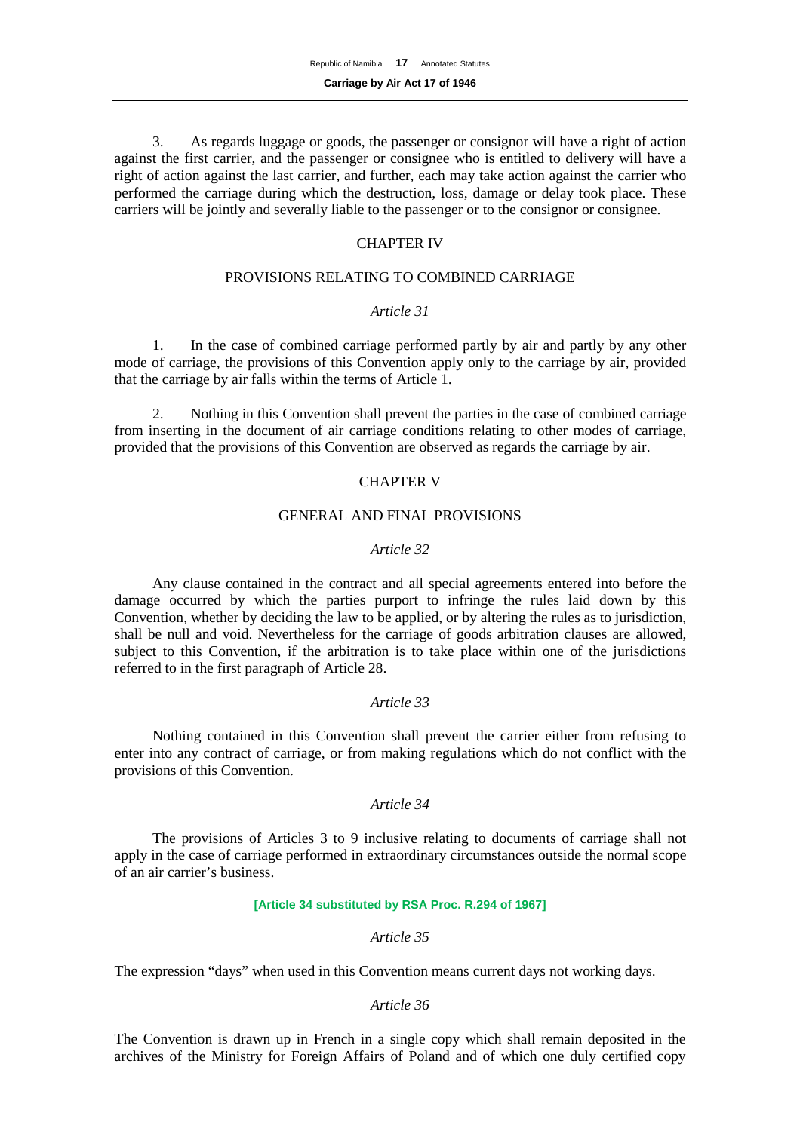3. As regards luggage or goods, the passenger or consignor will have a right of action against the first carrier, and the passenger or consignee who is entitled to delivery will have a right of action against the last carrier, and further, each may take action against the carrier who performed the carriage during which the destruction, loss, damage or delay took place. These carriers will be jointly and severally liable to the passenger or to the consignor or consignee.

# CHAPTER IV

### PROVISIONS RELATING TO COMBINED CARRIAGE

### *Article 31*

1. In the case of combined carriage performed partly by air and partly by any other mode of carriage, the provisions of this Convention apply only to the carriage by air, provided that the carriage by air falls within the terms of Article 1.

2. Nothing in this Convention shall prevent the parties in the case of combined carriage from inserting in the document of air carriage conditions relating to other modes of carriage, provided that the provisions of this Convention are observed as regards the carriage by air.

### CHAPTER V

### GENERAL AND FINAL PROVISIONS

### *Article 32*

Any clause contained in the contract and all special agreements entered into before the damage occurred by which the parties purport to infringe the rules laid down by this Convention, whether by deciding the law to be applied, or by altering the rules as to jurisdiction, shall be null and void. Nevertheless for the carriage of goods arbitration clauses are allowed, subject to this Convention, if the arbitration is to take place within one of the jurisdictions referred to in the first paragraph of Article 28.

### *Article 33*

Nothing contained in this Convention shall prevent the carrier either from refusing to enter into any contract of carriage, or from making regulations which do not conflict with the provisions of this Convention.

### *Article 34*

The provisions of Articles 3 to 9 inclusive relating to documents of carriage shall not apply in the case of carriage performed in extraordinary circumstances outside the normal scope of an air carrier's business.

# **[Article 34 substituted by RSA Proc. R.294 of 1967]**

### *Article 35*

The expression "days" when used in this Convention means current days not working days.

### *Article 36*

The Convention is drawn up in French in a single copy which shall remain deposited in the archives of the Ministry for Foreign Affairs of Poland and of which one duly certified copy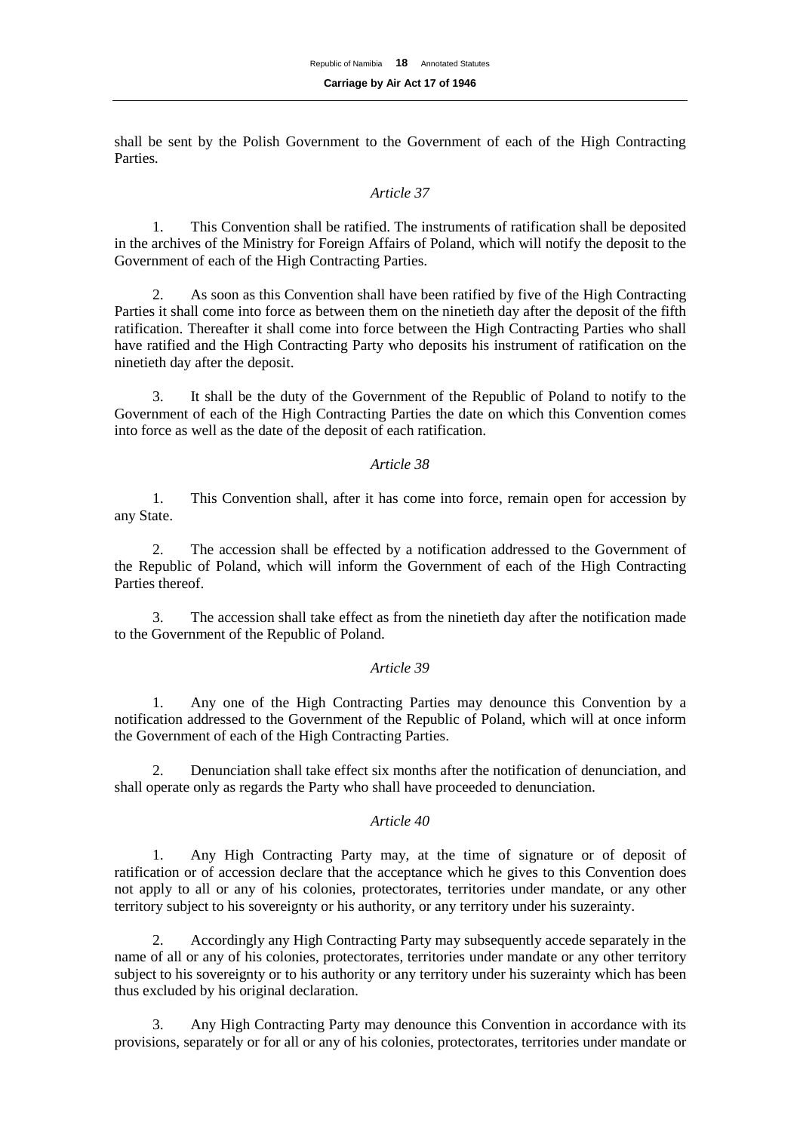shall be sent by the Polish Government to the Government of each of the High Contracting **Parties** 

# *Article 37*

1. This Convention shall be ratified. The instruments of ratification shall be deposited in the archives of the Ministry for Foreign Affairs of Poland, which will notify the deposit to the Government of each of the High Contracting Parties.

2. As soon as this Convention shall have been ratified by five of the High Contracting Parties it shall come into force as between them on the ninetieth day after the deposit of the fifth ratification. Thereafter it shall come into force between the High Contracting Parties who shall have ratified and the High Contracting Party who deposits his instrument of ratification on the ninetieth day after the deposit.

3. It shall be the duty of the Government of the Republic of Poland to notify to the Government of each of the High Contracting Parties the date on which this Convention comes into force as well as the date of the deposit of each ratification.

# *Article 38*

1. This Convention shall, after it has come into force, remain open for accession by any State.

2. The accession shall be effected by a notification addressed to the Government of the Republic of Poland, which will inform the Government of each of the High Contracting Parties thereof.

3. The accession shall take effect as from the ninetieth day after the notification made to the Government of the Republic of Poland.

# *Article 39*

1. Any one of the High Contracting Parties may denounce this Convention by a notification addressed to the Government of the Republic of Poland, which will at once inform the Government of each of the High Contracting Parties.

2. Denunciation shall take effect six months after the notification of denunciation, and shall operate only as regards the Party who shall have proceeded to denunciation.

# *Article 40*

1. Any High Contracting Party may, at the time of signature or of deposit of ratification or of accession declare that the acceptance which he gives to this Convention does not apply to all or any of his colonies, protectorates, territories under mandate, or any other territory subject to his sovereignty or his authority, or any territory under his suzerainty.

2. Accordingly any High Contracting Party may subsequently accede separately in the name of all or any of his colonies, protectorates, territories under mandate or any other territory subject to his sovereignty or to his authority or any territory under his suzerainty which has been thus excluded by his original declaration.

3. Any High Contracting Party may denounce this Convention in accordance with its provisions, separately or for all or any of his colonies, protectorates, territories under mandate or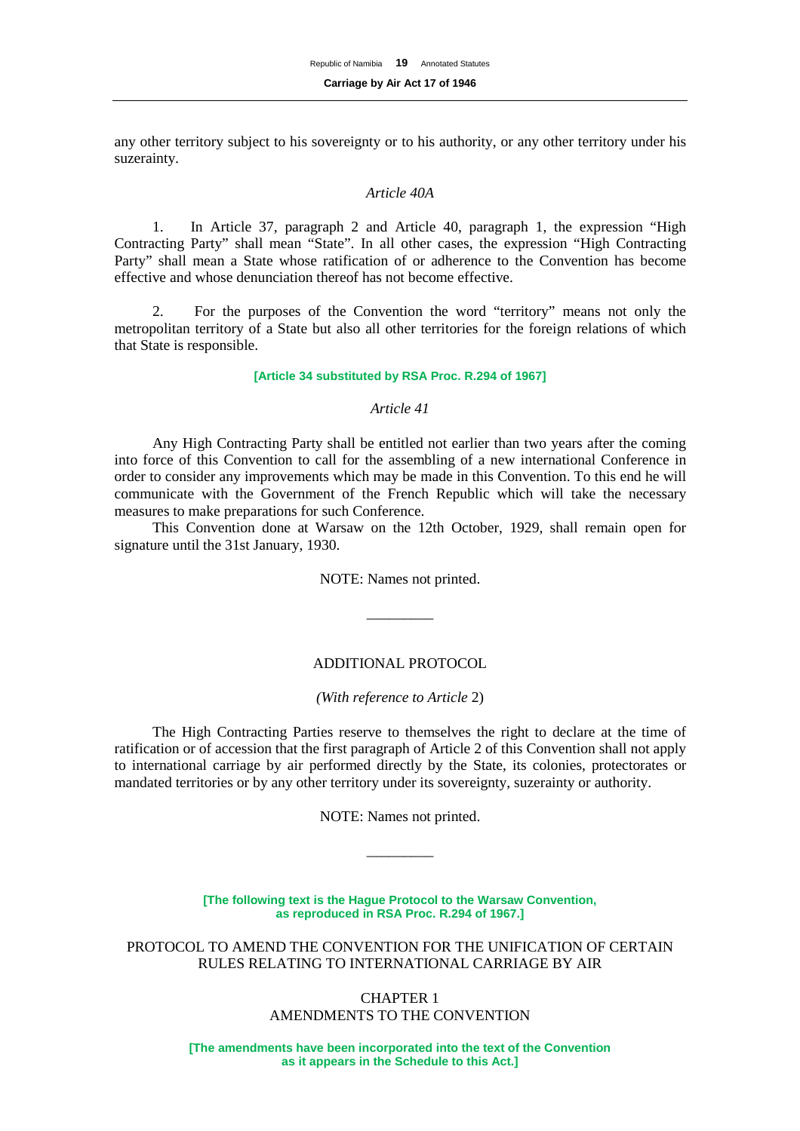any other territory subject to his sovereignty or to his authority, or any other territory under his suzerainty.

#### *Article 40A*

1. In Article 37, paragraph 2 and Article 40, paragraph 1, the expression "High Contracting Party" shall mean "State". In all other cases, the expression "High Contracting Party" shall mean a State whose ratification of or adherence to the Convention has become effective and whose denunciation thereof has not become effective.

2. For the purposes of the Convention the word "territory" means not only the metropolitan territory of a State but also all other territories for the foreign relations of which that State is responsible.

#### **[Article 34 substituted by RSA Proc. R.294 of 1967]**

### *Article 41*

Any High Contracting Party shall be entitled not earlier than two years after the coming into force of this Convention to call for the assembling of a new international Conference in order to consider any improvements which may be made in this Convention. To this end he will communicate with the Government of the French Republic which will take the necessary measures to make preparations for such Conference.

This Convention done at Warsaw on the 12th October, 1929, shall remain open for signature until the 31st January, 1930.

NOTE: Names not printed.

 $\overline{\phantom{a}}$ 

### ADDITIONAL PROTOCOL

*(With reference to Article* 2)

The High Contracting Parties reserve to themselves the right to declare at the time of ratification or of accession that the first paragraph of Article 2 of this Convention shall not apply to international carriage by air performed directly by the State, its colonies, protectorates or mandated territories or by any other territory under its sovereignty, suzerainty or authority.

NOTE: Names not printed.

 $\overline{\phantom{a}}$ 

**[The following text is the Hague Protocol to the Warsaw Convention, as reproduced in RSA Proc. R.294 of 1967.]**

PROTOCOL TO AMEND THE CONVENTION FOR THE UNIFICATION OF CERTAIN RULES RELATING TO INTERNATIONAL CARRIAGE BY AIR

> CHAPTER 1 AMENDMENTS TO THE CONVENTION

**[The amendments have been incorporated into the text of the Convention as it appears in the Schedule to this Act.]**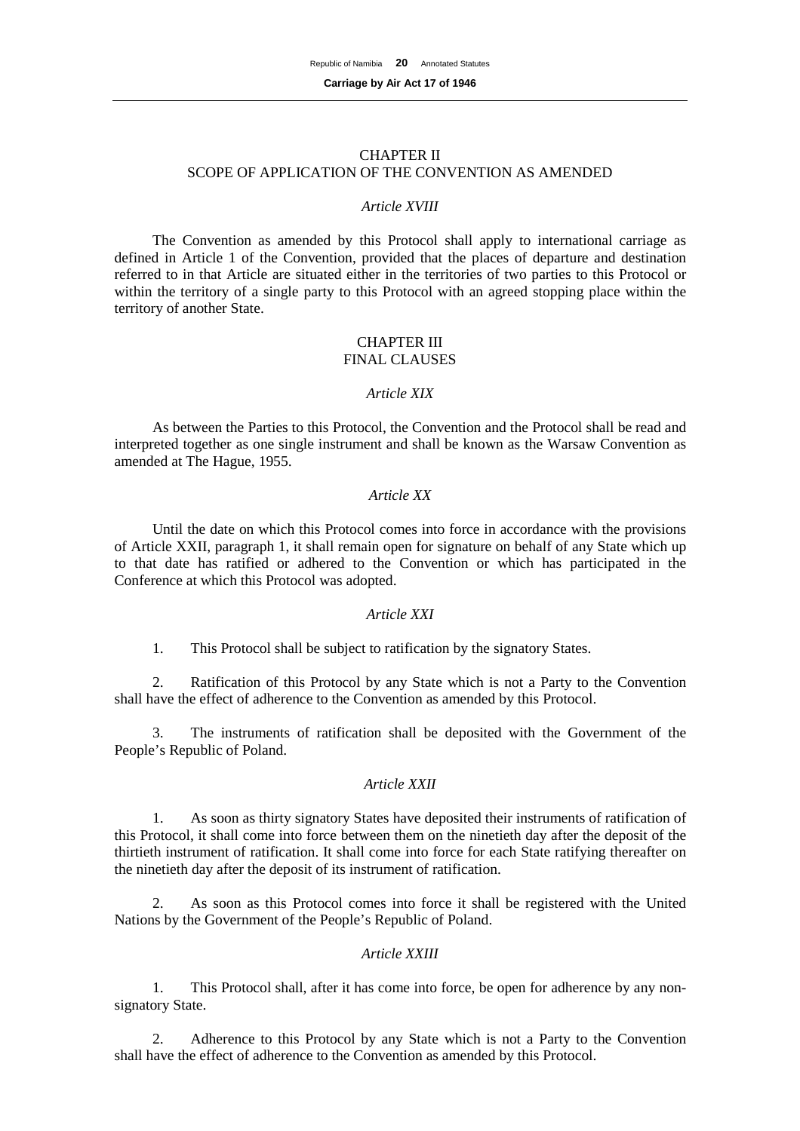# CHAPTER II SCOPE OF APPLICATION OF THE CONVENTION AS AMENDED

#### *Article XVIII*

The Convention as amended by this Protocol shall apply to international carriage as defined in Article 1 of the Convention, provided that the places of departure and destination referred to in that Article are situated either in the territories of two parties to this Protocol or within the territory of a single party to this Protocol with an agreed stopping place within the territory of another State.

#### CHAPTER III FINAL CLAUSES

#### *Article XIX*

As between the Parties to this Protocol, the Convention and the Protocol shall be read and interpreted together as one single instrument and shall be known as the Warsaw Convention as amended at The Hague, 1955.

### *Article XX*

Until the date on which this Protocol comes into force in accordance with the provisions of Article XXII, paragraph 1, it shall remain open for signature on behalf of any State which up to that date has ratified or adhered to the Convention or which has participated in the Conference at which this Protocol was adopted.

### *Article XXI*

1. This Protocol shall be subject to ratification by the signatory States.

2. Ratification of this Protocol by any State which is not a Party to the Convention shall have the effect of adherence to the Convention as amended by this Protocol.

3. The instruments of ratification shall be deposited with the Government of the People's Republic of Poland.

#### *Article XXII*

1. As soon as thirty signatory States have deposited their instruments of ratification of this Protocol, it shall come into force between them on the ninetieth day after the deposit of the thirtieth instrument of ratification. It shall come into force for each State ratifying thereafter on the ninetieth day after the deposit of its instrument of ratification.

2. As soon as this Protocol comes into force it shall be registered with the United Nations by the Government of the People's Republic of Poland.

#### *Article XXIII*

1. This Protocol shall, after it has come into force, be open for adherence by any nonsignatory State.

2. Adherence to this Protocol by any State which is not a Party to the Convention shall have the effect of adherence to the Convention as amended by this Protocol.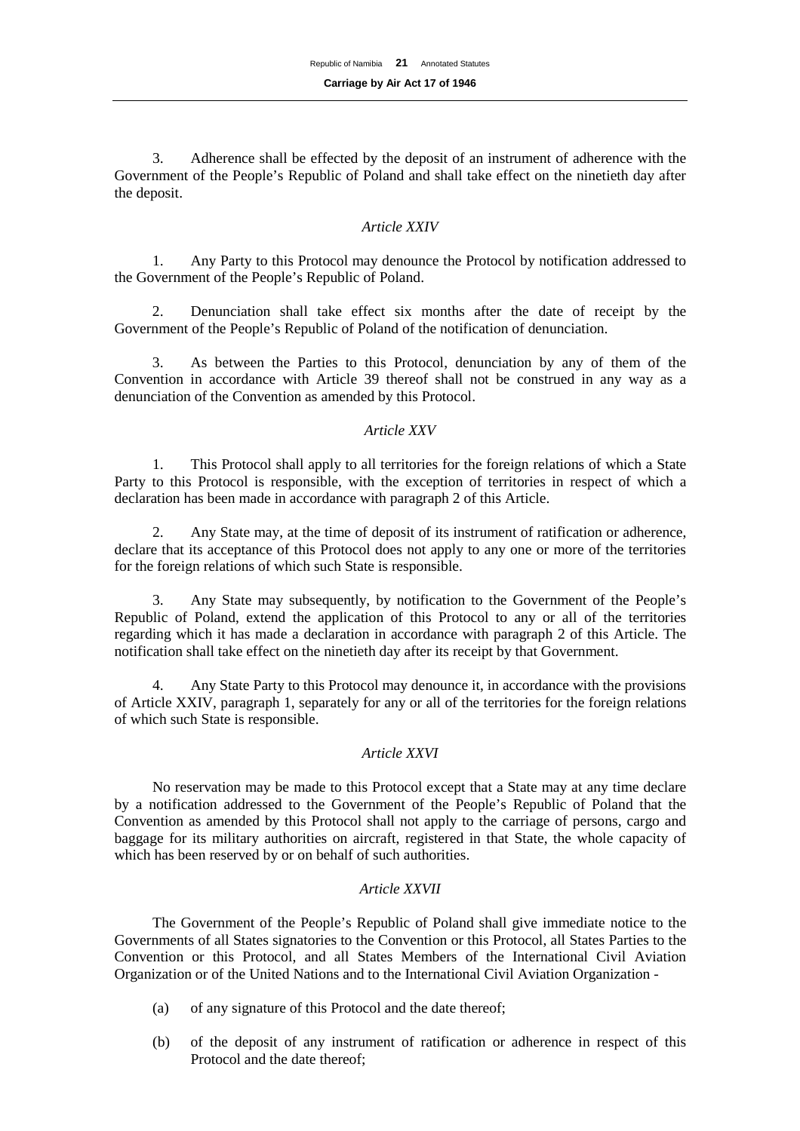3. Adherence shall be effected by the deposit of an instrument of adherence with the Government of the People's Republic of Poland and shall take effect on the ninetieth day after the deposit.

# *Article XXIV*

1. Any Party to this Protocol may denounce the Protocol by notification addressed to the Government of the People's Republic of Poland.

2. Denunciation shall take effect six months after the date of receipt by the Government of the People's Republic of Poland of the notification of denunciation.

3. As between the Parties to this Protocol, denunciation by any of them of the Convention in accordance with Article 39 thereof shall not be construed in any way as a denunciation of the Convention as amended by this Protocol.

### *Article XXV*

1. This Protocol shall apply to all territories for the foreign relations of which a State Party to this Protocol is responsible, with the exception of territories in respect of which a declaration has been made in accordance with paragraph 2 of this Article.

2. Any State may, at the time of deposit of its instrument of ratification or adherence, declare that its acceptance of this Protocol does not apply to any one or more of the territories for the foreign relations of which such State is responsible.

3. Any State may subsequently, by notification to the Government of the People's Republic of Poland, extend the application of this Protocol to any or all of the territories regarding which it has made a declaration in accordance with paragraph 2 of this Article. The notification shall take effect on the ninetieth day after its receipt by that Government.

4. Any State Party to this Protocol may denounce it, in accordance with the provisions of Article XXIV, paragraph 1, separately for any or all of the territories for the foreign relations of which such State is responsible.

### *Article XXVI*

No reservation may be made to this Protocol except that a State may at any time declare by a notification addressed to the Government of the People's Republic of Poland that the Convention as amended by this Protocol shall not apply to the carriage of persons, cargo and baggage for its military authorities on aircraft, registered in that State, the whole capacity of which has been reserved by or on behalf of such authorities.

### *Article XXVII*

The Government of the People's Republic of Poland shall give immediate notice to the Governments of all States signatories to the Convention or this Protocol, all States Parties to the Convention or this Protocol, and all States Members of the International Civil Aviation Organization or of the United Nations and to the International Civil Aviation Organization -

- (a) of any signature of this Protocol and the date thereof;
- (b) of the deposit of any instrument of ratification or adherence in respect of this Protocol and the date thereof;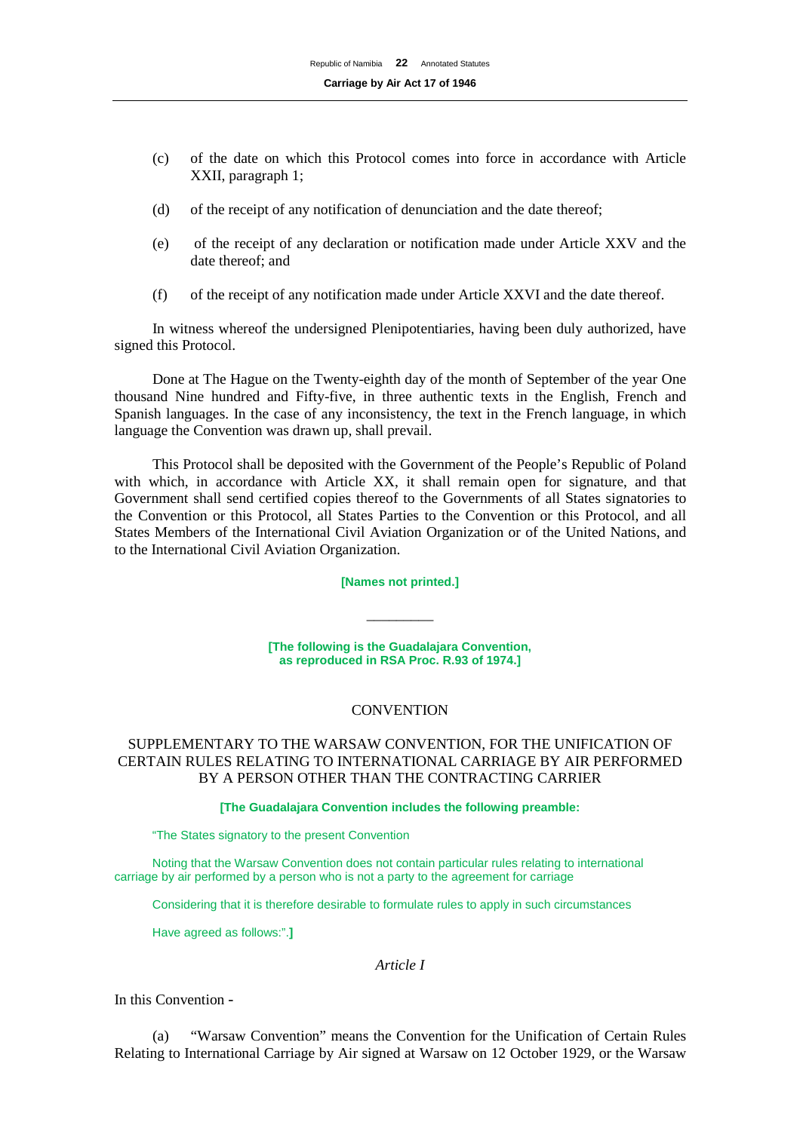- (c) of the date on which this Protocol comes into force in accordance with Article XXII, paragraph 1;
- (d) of the receipt of any notification of denunciation and the date thereof;
- (e) of the receipt of any declaration or notification made under Article XXV and the date thereof; and
- (f) of the receipt of any notification made under Article XXVI and the date thereof.

In witness whereof the undersigned Plenipotentiaries, having been duly authorized, have signed this Protocol.

Done at The Hague on the Twenty-eighth day of the month of September of the year One thousand Nine hundred and Fifty-five, in three authentic texts in the English, French and Spanish languages. In the case of any inconsistency, the text in the French language, in which language the Convention was drawn up, shall prevail.

This Protocol shall be deposited with the Government of the People's Republic of Poland with which, in accordance with Article XX, it shall remain open for signature, and that Government shall send certified copies thereof to the Governments of all States signatories to the Convention or this Protocol, all States Parties to the Convention or this Protocol, and all States Members of the International Civil Aviation Organization or of the United Nations, and to the International Civil Aviation Organization.

### **[Names not printed.]**

**[The following is the Guadalajara Convention, as reproduced in RSA Proc. R.93 of 1974.]**

 $\overline{\phantom{a}}$ 

#### **CONVENTION**

# SUPPLEMENTARY TO THE WARSAW CONVENTION, FOR THE UNIFICATION OF CERTAIN RULES RELATING TO INTERNATIONAL CARRIAGE BY AIR PERFORMED BY A PERSON OTHER THAN THE CONTRACTING CARRIER

#### **[The Guadalajara Convention includes the following preamble:**

"The States signatory to the present Convention

Noting that the Warsaw Convention does not contain particular rules relating to international carriage by air performed by a person who is not a party to the agreement for carriage

Considering that it is therefore desirable to formulate rules to apply in such circumstances

Have agreed as follows:".**]**

#### *Article I*

In this Convention -

(a) "Warsaw Convention" means the Convention for the Unification of Certain Rules Relating to International Carriage by Air signed at Warsaw on 12 October 1929, or the Warsaw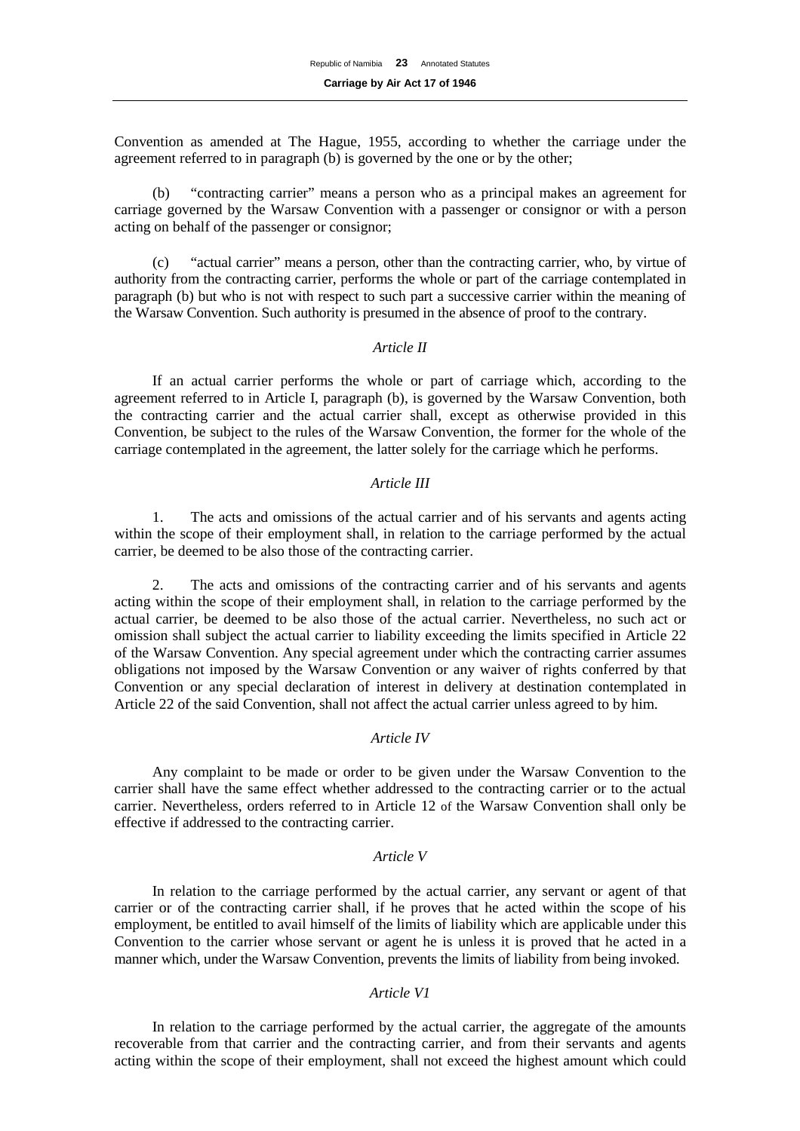Convention as amended at The Hague, 1955, according to whether the carriage under the agreement referred to in paragraph (b) is governed by the one or by the other;

(b) "contracting carrier" means a person who as a principal makes an agreement for carriage governed by the Warsaw Convention with a passenger or consignor or with a person acting on behalf of the passenger or consignor;

(c) "actual carrier" means a person, other than the contracting carrier, who, by virtue of authority from the contracting carrier, performs the whole or part of the carriage contemplated in paragraph (b) but who is not with respect to such part a successive carrier within the meaning of the Warsaw Convention. Such authority is presumed in the absence of proof to the contrary.

### *Article II*

If an actual carrier performs the whole or part of carriage which, according to the agreement referred to in Article I, paragraph (b), is governed by the Warsaw Convention, both the contracting carrier and the actual carrier shall, except as otherwise provided in this Convention, be subject to the rules of the Warsaw Convention, the former for the whole of the carriage contemplated in the agreement, the latter solely for the carriage which he performs.

### *Article III*

1. The acts and omissions of the actual carrier and of his servants and agents acting within the scope of their employment shall, in relation to the carriage performed by the actual carrier, be deemed to be also those of the contracting carrier.

2. The acts and omissions of the contracting carrier and of his servants and agents acting within the scope of their employment shall, in relation to the carriage performed by the actual carrier, be deemed to be also those of the actual carrier. Nevertheless, no such act or omission shall subject the actual carrier to liability exceeding the limits specified in Article 22 of the Warsaw Convention. Any special agreement under which the contracting carrier assumes obligations not imposed by the Warsaw Convention or any waiver of rights conferred by that Convention or any special declaration of interest in delivery at destination contemplated in Article 22 of the said Convention, shall not affect the actual carrier unless agreed to by him.

### *Article IV*

Any complaint to be made or order to be given under the Warsaw Convention to the carrier shall have the same effect whether addressed to the contracting carrier or to the actual carrier. Nevertheless, orders referred to in Article 12 of the Warsaw Convention shall only be effective if addressed to the contracting carrier.

### *Article V*

In relation to the carriage performed by the actual carrier, any servant or agent of that carrier or of the contracting carrier shall, if he proves that he acted within the scope of his employment, be entitled to avail himself of the limits of liability which are applicable under this Convention to the carrier whose servant or agent he is unless it is proved that he acted in a manner which, under the Warsaw Convention, prevents the limits of liability from being invoked.

# *Article V1*

In relation to the carriage performed by the actual carrier, the aggregate of the amounts recoverable from that carrier and the contracting carrier, and from their servants and agents acting within the scope of their employment, shall not exceed the highest amount which could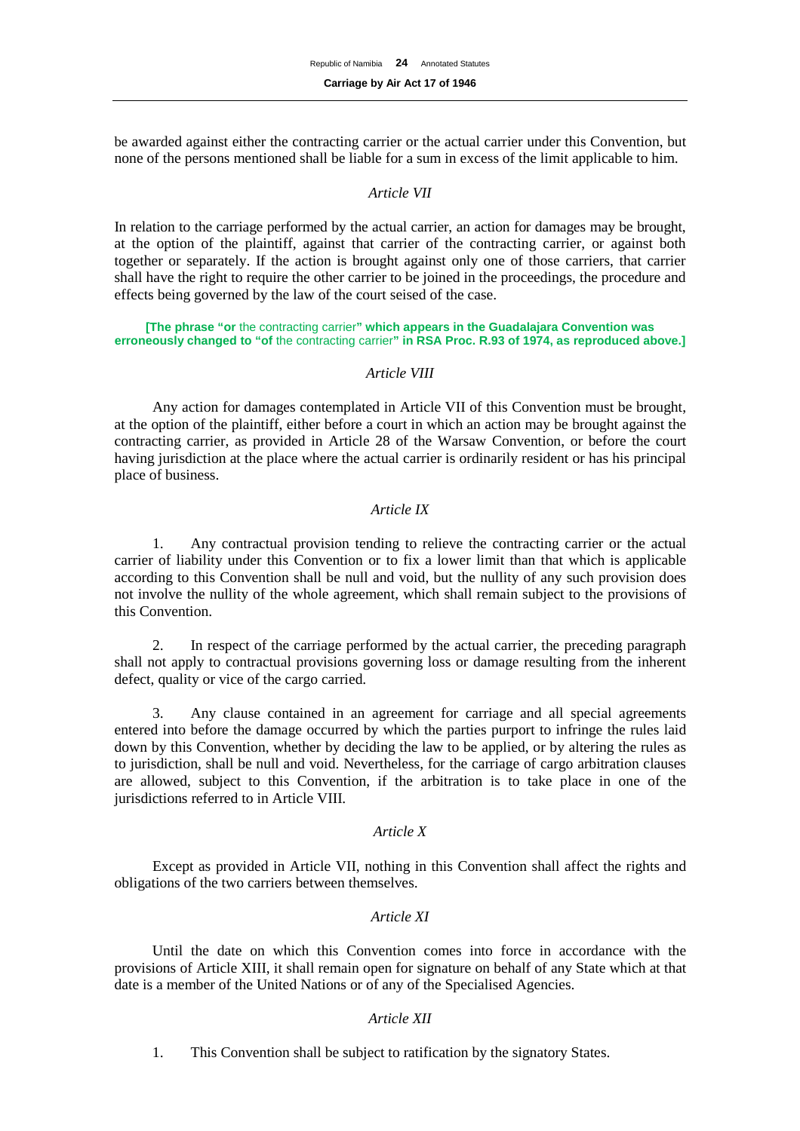be awarded against either the contracting carrier or the actual carrier under this Convention, but none of the persons mentioned shall be liable for a sum in excess of the limit applicable to him.

# *Article VII*

In relation to the carriage performed by the actual carrier, an action for damages may be brought, at the option of the plaintiff, against that carrier of the contracting carrier, or against both together or separately. If the action is brought against only one of those carriers, that carrier shall have the right to require the other carrier to be joined in the proceedings, the procedure and effects being governed by the law of the court seised of the case.

#### **[The phrase "or** the contracting carrier**" which appears in the Guadalajara Convention was erroneously changed to "of** the contracting carrier**" in RSA Proc. R.93 of 1974, as reproduced above.]**

### *Article VIII*

Any action for damages contemplated in Article VII of this Convention must be brought, at the option of the plaintiff, either before a court in which an action may be brought against the contracting carrier, as provided in Article 28 of the Warsaw Convention, or before the court having jurisdiction at the place where the actual carrier is ordinarily resident or has his principal place of business.

# *Article IX*

1. Any contractual provision tending to relieve the contracting carrier or the actual carrier of liability under this Convention or to fix a lower limit than that which is applicable according to this Convention shall be null and void, but the nullity of any such provision does not involve the nullity of the whole agreement, which shall remain subject to the provisions of this Convention.

2. In respect of the carriage performed by the actual carrier, the preceding paragraph shall not apply to contractual provisions governing loss or damage resulting from the inherent defect, quality or vice of the cargo carried.

3. Any clause contained in an agreement for carriage and all special agreements entered into before the damage occurred by which the parties purport to infringe the rules laid down by this Convention, whether by deciding the law to be applied, or by altering the rules as to jurisdiction, shall be null and void. Nevertheless, for the carriage of cargo arbitration clauses are allowed, subject to this Convention, if the arbitration is to take place in one of the jurisdictions referred to in Article VIII.

### *Article X*

Except as provided in Article VII, nothing in this Convention shall affect the rights and obligations of the two carriers between themselves.

### *Article XI*

Until the date on which this Convention comes into force in accordance with the provisions of Article XIII, it shall remain open for signature on behalf of any State which at that date is a member of the United Nations or of any of the Specialised Agencies.

### *Article XII*

1. This Convention shall be subject to ratification by the signatory States.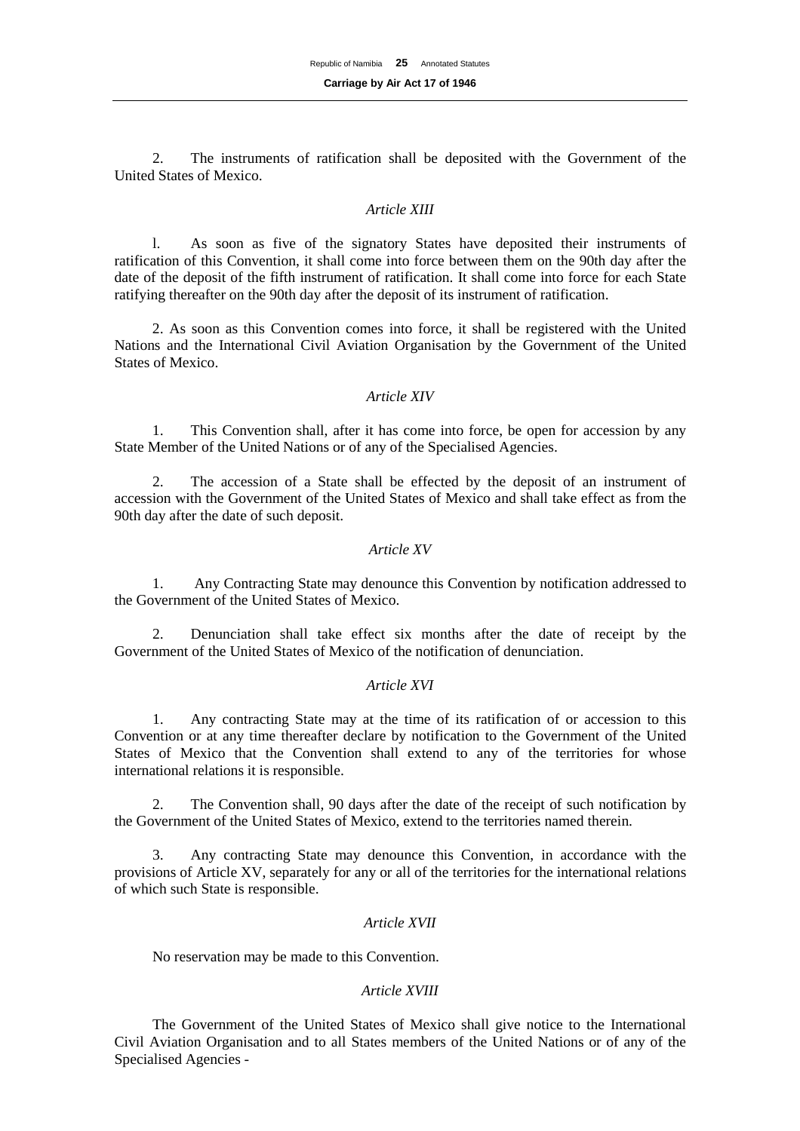2. The instruments of ratification shall be deposited with the Government of the United States of Mexico.

# *Article XIII*

l. As soon as five of the signatory States have deposited their instruments of ratification of this Convention, it shall come into force between them on the 90th day after the date of the deposit of the fifth instrument of ratification. It shall come into force for each State ratifying thereafter on the 90th day after the deposit of its instrument of ratification.

2. As soon as this Convention comes into force, it shall be registered with the United Nations and the International Civil Aviation Organisation by the Government of the United States of Mexico.

### *Article XIV*

1. This Convention shall, after it has come into force, be open for accession by any State Member of the United Nations or of any of the Specialised Agencies.

2. The accession of a State shall be effected by the deposit of an instrument of accession with the Government of the United States of Mexico and shall take effect as from the 90th day after the date of such deposit.

### *Article XV*

1. Any Contracting State may denounce this Convention by notification addressed to the Government of the United States of Mexico.

2. Denunciation shall take effect six months after the date of receipt by the Government of the United States of Mexico of the notification of denunciation.

### *Article XVI*

1. Any contracting State may at the time of its ratification of or accession to this Convention or at any time thereafter declare by notification to the Government of the United States of Mexico that the Convention shall extend to any of the territories for whose international relations it is responsible.

2. The Convention shall, 90 days after the date of the receipt of such notification by the Government of the United States of Mexico, extend to the territories named therein.

3. Any contracting State may denounce this Convention, in accordance with the provisions of Article XV, separately for any or all of the territories for the international relations of which such State is responsible.

### *Article XVII*

No reservation may be made to this Convention.

### *Article XVIII*

The Government of the United States of Mexico shall give notice to the International Civil Aviation Organisation and to all States members of the United Nations or of any of the Specialised Agencies -